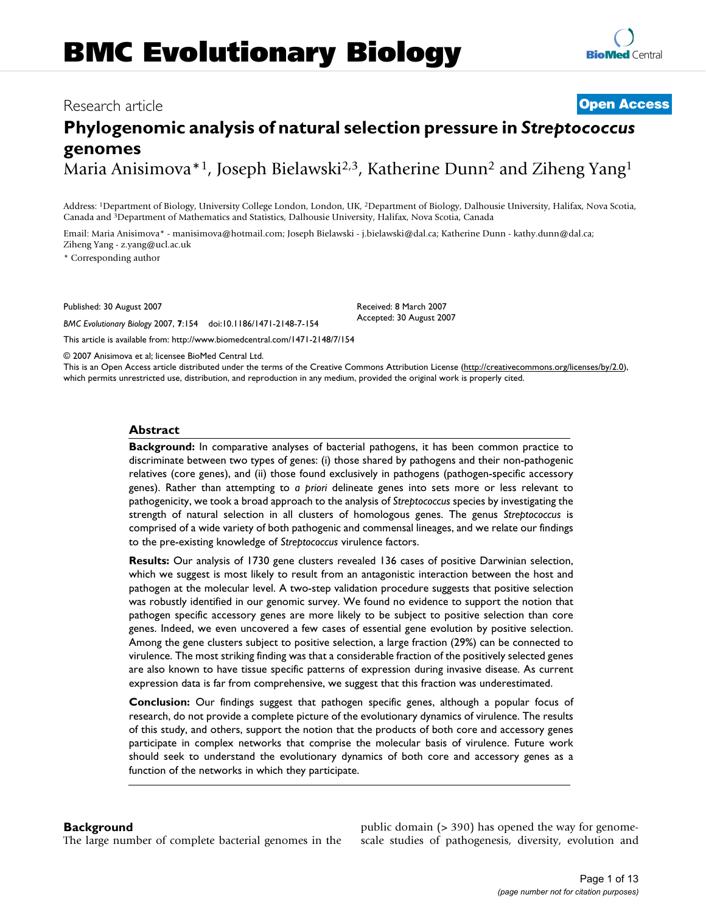## Research article **[Open Access](http://www.biomedcentral.com/info/about/charter/)**

# **Phylogenomic analysis of natural selection pressure in** *Streptococcus*  **genomes** Maria Anisimova<sup>\*1</sup>, Joseph Bielawski<sup>2,3</sup>, Katherine Dunn<sup>2</sup> and Ziheng Yang<sup>1</sup>

Address: 1Department of Biology, University College London, London, UK, 2Department of Biology, Dalhousie University, Halifax, Nova Scotia, Canada and 3Department of Mathematics and Statistics, Dalhousie University, Halifax, Nova Scotia, Canada

Email: Maria Anisimova\* - manisimova@hotmail.com; Joseph Bielawski - j.bielawski@dal.ca; Katherine Dunn - kathy.dunn@dal.ca; Ziheng Yang - z.yang@ucl.ac.uk

\* Corresponding author

Published: 30 August 2007

*BMC Evolutionary Biology* 2007, **7**:154 doi:10.1186/1471-2148-7-154

[This article is available from: http://www.biomedcentral.com/1471-2148/7/154](http://www.biomedcentral.com/1471-2148/7/154)

Received: 8 March 2007 Accepted: 30 August 2007

© 2007 Anisimova et al; licensee BioMed Central Ltd.

This is an Open Access article distributed under the terms of the Creative Commons Attribution License [\(http://creativecommons.org/licenses/by/2.0\)](http://creativecommons.org/licenses/by/2.0), which permits unrestricted use, distribution, and reproduction in any medium, provided the original work is properly cited.

#### **Abstract**

**Background:** In comparative analyses of bacterial pathogens, it has been common practice to discriminate between two types of genes: (i) those shared by pathogens and their non-pathogenic relatives (core genes), and (ii) those found exclusively in pathogens (pathogen-specific accessory genes). Rather than attempting to *a priori* delineate genes into sets more or less relevant to pathogenicity, we took a broad approach to the analysis of *Streptococcus* species by investigating the strength of natural selection in all clusters of homologous genes. The genus *Streptococcus* is comprised of a wide variety of both pathogenic and commensal lineages, and we relate our findings to the pre-existing knowledge of *Streptococcus* virulence factors.

**Results:** Our analysis of 1730 gene clusters revealed 136 cases of positive Darwinian selection, which we suggest is most likely to result from an antagonistic interaction between the host and pathogen at the molecular level. A two-step validation procedure suggests that positive selection was robustly identified in our genomic survey. We found no evidence to support the notion that pathogen specific accessory genes are more likely to be subject to positive selection than core genes. Indeed, we even uncovered a few cases of essential gene evolution by positive selection. Among the gene clusters subject to positive selection, a large fraction (29%) can be connected to virulence. The most striking finding was that a considerable fraction of the positively selected genes are also known to have tissue specific patterns of expression during invasive disease. As current expression data is far from comprehensive, we suggest that this fraction was underestimated.

**Conclusion:** Our findings suggest that pathogen specific genes, although a popular focus of research, do not provide a complete picture of the evolutionary dynamics of virulence. The results of this study, and others, support the notion that the products of both core and accessory genes participate in complex networks that comprise the molecular basis of virulence. Future work should seek to understand the evolutionary dynamics of both core and accessory genes as a function of the networks in which they participate.

#### **Background**

The large number of complete bacterial genomes in the

public domain (> 390) has opened the way for genomescale studies of pathogenesis, diversity, evolution and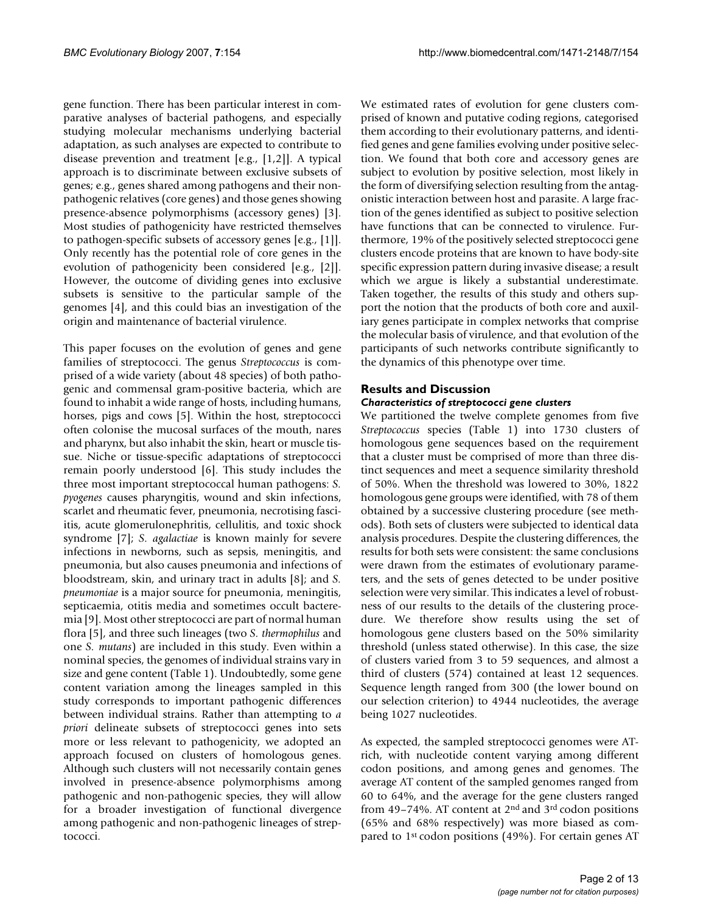gene function. There has been particular interest in comparative analyses of bacterial pathogens, and especially studying molecular mechanisms underlying bacterial adaptation, as such analyses are expected to contribute to disease prevention and treatment [e.g., [1,2]]. A typical approach is to discriminate between exclusive subsets of genes; e.g., genes shared among pathogens and their nonpathogenic relatives (core genes) and those genes showing presence-absence polymorphisms (accessory genes) [3]. Most studies of pathogenicity have restricted themselves to pathogen-specific subsets of accessory genes [e.g., [1]]. Only recently has the potential role of core genes in the evolution of pathogenicity been considered [e.g., [2]]. However, the outcome of dividing genes into exclusive subsets is sensitive to the particular sample of the genomes [4], and this could bias an investigation of the origin and maintenance of bacterial virulence.

This paper focuses on the evolution of genes and gene families of streptococci. The genus *Streptococcus* is comprised of a wide variety (about 48 species) of both pathogenic and commensal gram-positive bacteria, which are found to inhabit a wide range of hosts, including humans, horses, pigs and cows [5]. Within the host, streptococci often colonise the mucosal surfaces of the mouth, nares and pharynx, but also inhabit the skin, heart or muscle tissue. Niche or tissue-specific adaptations of streptococci remain poorly understood [6]. This study includes the three most important streptococcal human pathogens: *S. pyogenes* causes pharyngitis, wound and skin infections, scarlet and rheumatic fever, pneumonia, necrotising fasciitis, acute glomerulonephritis, cellulitis, and toxic shock syndrome [7]; *S. agalactiae* is known mainly for severe infections in newborns, such as sepsis, meningitis, and pneumonia, but also causes pneumonia and infections of bloodstream, skin, and urinary tract in adults [8]; and *S. pneumoniae* is a major source for pneumonia, meningitis, septicaemia, otitis media and sometimes occult bacteremia [9]. Most other streptococci are part of normal human flora [5], and three such lineages (two *S. thermophilus* and one *S. mutans*) are included in this study. Even within a nominal species, the genomes of individual strains vary in size and gene content (Table 1). Undoubtedly, some gene content variation among the lineages sampled in this study corresponds to important pathogenic differences between individual strains. Rather than attempting to *a priori* delineate subsets of streptococci genes into sets more or less relevant to pathogenicity, we adopted an approach focused on clusters of homologous genes. Although such clusters will not necessarily contain genes involved in presence-absence polymorphisms among pathogenic and non-pathogenic species, they will allow for a broader investigation of functional divergence among pathogenic and non-pathogenic lineages of streptococci.

We estimated rates of evolution for gene clusters comprised of known and putative coding regions, categorised them according to their evolutionary patterns, and identified genes and gene families evolving under positive selection. We found that both core and accessory genes are subject to evolution by positive selection, most likely in the form of diversifying selection resulting from the antagonistic interaction between host and parasite. A large fraction of the genes identified as subject to positive selection have functions that can be connected to virulence. Furthermore, 19% of the positively selected streptococci gene clusters encode proteins that are known to have body-site specific expression pattern during invasive disease; a result which we argue is likely a substantial underestimate. Taken together, the results of this study and others support the notion that the products of both core and auxiliary genes participate in complex networks that comprise the molecular basis of virulence, and that evolution of the participants of such networks contribute significantly to the dynamics of this phenotype over time.

## **Results and Discussion** *Characteristics of streptococci gene clusters*

We partitioned the twelve complete genomes from five *Streptococcus* species (Table 1) into 1730 clusters of homologous gene sequences based on the requirement that a cluster must be comprised of more than three distinct sequences and meet a sequence similarity threshold of 50%. When the threshold was lowered to 30%, 1822 homologous gene groups were identified, with 78 of them obtained by a successive clustering procedure (see methods). Both sets of clusters were subjected to identical data analysis procedures. Despite the clustering differences, the results for both sets were consistent: the same conclusions were drawn from the estimates of evolutionary parameters, and the sets of genes detected to be under positive selection were very similar. This indicates a level of robustness of our results to the details of the clustering procedure. We therefore show results using the set of homologous gene clusters based on the 50% similarity threshold (unless stated otherwise). In this case, the size of clusters varied from 3 to 59 sequences, and almost a third of clusters (574) contained at least 12 sequences. Sequence length ranged from 300 (the lower bound on our selection criterion) to 4944 nucleotides, the average being 1027 nucleotides.

As expected, the sampled streptococci genomes were ATrich, with nucleotide content varying among different codon positions, and among genes and genomes. The average AT content of the sampled genomes ranged from 60 to 64%, and the average for the gene clusters ranged from 49–74%. AT content at 2nd and 3rd codon positions (65% and 68% respectively) was more biased as compared to 1st codon positions (49%). For certain genes AT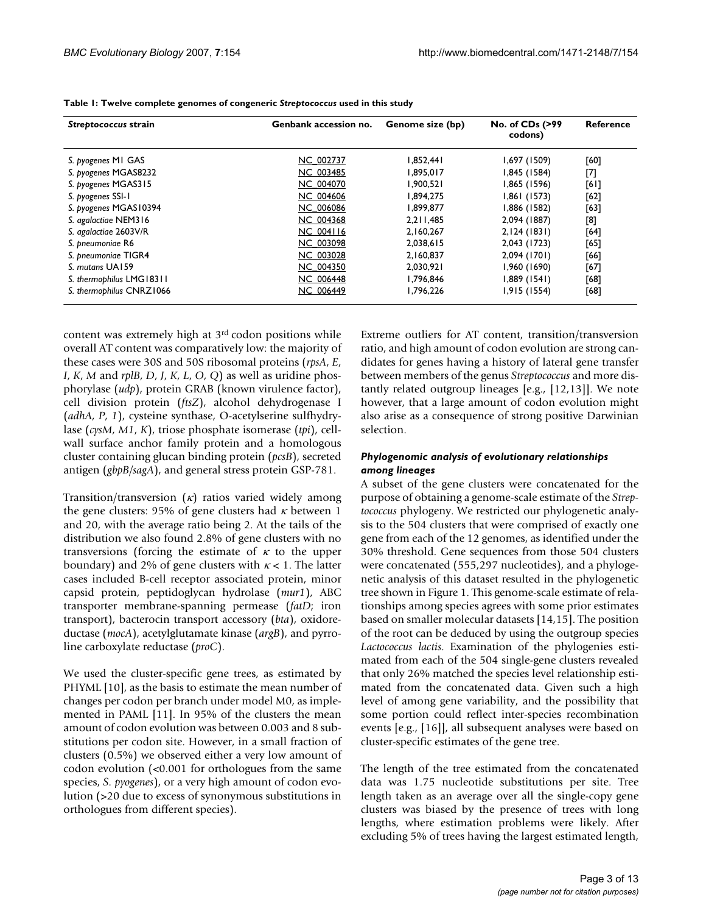| Streptococcus strain     | Genbank accession no. | Genome size (bp) | No. of CDs (>99<br>codons) | <b>Reference</b> |
|--------------------------|-----------------------|------------------|----------------------------|------------------|
| S. pyogenes MI GAS       | NC 002737             | 1.852.441        | 1,697 (1509)               | [60]             |
| S. pyogenes MGAS8232     | <b>NC 003485</b>      | 1,895,017        | 1,845(1584)                | [7]              |
| S. pyogenes MGAS315      | NC 004070             | 1.900.521        | 1,865 (1596)               | [61]             |
| S. pyogenes SSI-1        | NC 004606             | 1.894.275        | 1,861(1573)                | [62]             |
| S. pyogenes MGAS10394    | <b>NC 006086</b>      | 1,899,877        | 1,886 (1582)               | [63]             |
| S. agalactiae NEM316     | NC 004368             | 2,211,485        | 2,094 (1887)               | [8]              |
| S. agalactiae 2603V/R    | <b>NC 004116</b>      | 2,160,267        | 2,124(1831)                | [64]             |
| S. pneumoniae R6         | <b>NC 003098</b>      | 2,038,615        | 2,043 (1723)               | [65]             |
| S. pneumoniae TIGR4      | <b>NC 003028</b>      | 2,160,837        | 2,094 (1701)               | [66]             |
| S. mutans UA159          | NC 004350             | 2,030,921        | 1,960 (1690)               | [67]             |
| S. thermophilus LMG18311 | <b>NC 006448</b>      | 1,796,846        | 1,889(1541)                | [68]             |
| S. thermophilus CNRZ1066 | <b>NC 006449</b>      | 1,796,226        | 1,915(1554)                | [68]             |

**Table 1: Twelve complete genomes of congeneric** *Streptococcus* **used in this study**

content was extremely high at 3rd codon positions while overall AT content was comparatively low: the majority of these cases were 30S and 50S ribosomal proteins (*rpsA*, *E*, *I*, *K*, *M* and *rplB*, *D*, *J*, *K*, *L*, *O*, *Q*) as well as uridine phosphorylase (*udp*), protein GRAB (known virulence factor), cell division protein (*ftsZ*), alcohol dehydrogenase I (*adhA*, *P*, *1*), cysteine synthase, O-acetylserine sulfhydrylase (*cysM*, *M1*, *K*), triose phosphate isomerase (*tpi*), cellwall surface anchor family protein and a homologous cluster containing glucan binding protein (*pcsB*), secreted antigen (*gbpB/sagA*), and general stress protein GSP-781.

Transition/transversion  $(\kappa)$  ratios varied widely among the gene clusters: 95% of gene clusters had  $\kappa$  between 1 and 20, with the average ratio being 2. At the tails of the distribution we also found 2.8% of gene clusters with no transversions (forcing the estimate of  $\kappa$  to the upper boundary) and 2% of gene clusters with  $\kappa$  < 1. The latter cases included B-cell receptor associated protein, minor capsid protein, peptidoglycan hydrolase (*mur1*), ABC transporter membrane-spanning permease (*fatD*; iron transport), bacterocin transport accessory (*bta*), oxidoreductase (*mocA*), acetylglutamate kinase (*argB*), and pyrroline carboxylate reductase (*proC*).

We used the cluster-specific gene trees, as estimated by PHYML [10], as the basis to estimate the mean number of changes per codon per branch under model M0, as implemented in PAML [11]. In 95% of the clusters the mean amount of codon evolution was between 0.003 and 8 substitutions per codon site. However, in a small fraction of clusters (0.5%) we observed either a very low amount of codon evolution (<0.001 for orthologues from the same species, *S. pyogenes*), or a very high amount of codon evolution (>20 due to excess of synonymous substitutions in orthologues from different species).

Extreme outliers for AT content, transition/transversion ratio, and high amount of codon evolution are strong candidates for genes having a history of lateral gene transfer between members of the genus *Streptococcus* and more distantly related outgroup lineages [e.g., [12,13]]. We note however, that a large amount of codon evolution might also arise as a consequence of strong positive Darwinian selection.

#### *Phylogenomic analysis of evolutionary relationships among lineages*

A subset of the gene clusters were concatenated for the purpose of obtaining a genome-scale estimate of the *Streptococcus* phylogeny. We restricted our phylogenetic analysis to the 504 clusters that were comprised of exactly one gene from each of the 12 genomes, as identified under the 30% threshold. Gene sequences from those 504 clusters were concatenated (555,297 nucleotides), and a phylogenetic analysis of this dataset resulted in the phylogenetic tree shown in Figure 1. This genome-scale estimate of relationships among species agrees with some prior estimates based on smaller molecular datasets [14,15]. The position of the root can be deduced by using the outgroup species *Lactococcus lactis*. Examination of the phylogenies estimated from each of the 504 single-gene clusters revealed that only 26% matched the species level relationship estimated from the concatenated data. Given such a high level of among gene variability, and the possibility that some portion could reflect inter-species recombination events [e.g., [16]], all subsequent analyses were based on cluster-specific estimates of the gene tree.

The length of the tree estimated from the concatenated data was 1.75 nucleotide substitutions per site. Tree length taken as an average over all the single-copy gene clusters was biased by the presence of trees with long lengths, where estimation problems were likely. After excluding 5% of trees having the largest estimated length,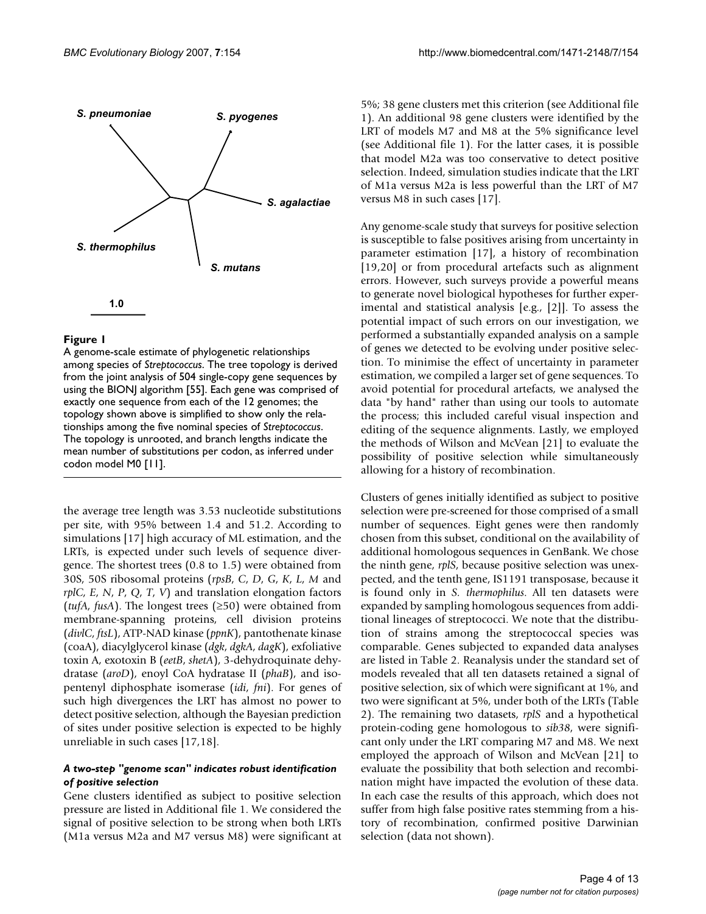

## Figure 1

A genome-scale estimate of phylogenetic relationships among species of *Streptococcus*. The tree topology is derived from the joint analysis of 504 single-copy gene sequences by using the BIONJ algorithm [55]. Each gene was comprised of exactly one sequence from each of the 12 genomes; the topology shown above is simplified to show only the relationships among the five nominal species of *Streptococcus*. The topology is unrooted, and branch lengths indicate the mean number of substitutions per codon, as inferred under codon model M0 [11].

the average tree length was 3.53 nucleotide substitutions per site, with 95% between 1.4 and 51.2. According to simulations [17] high accuracy of ML estimation, and the LRTs, is expected under such levels of sequence divergence. The shortest trees (0.8 to 1.5) were obtained from 30S, 50S ribosomal proteins (*rpsB*, *C*, *D*, *G*, *K*, *L*, *M* and *rplC*, *E*, *N*, *P*, *Q*, *T*, *V*) and translation elongation factors (*tufA*, *fusA*). The longest trees (≥50) were obtained from membrane-spanning proteins, cell division proteins (*divlC*, *ftsL*), ATP-NAD kinase (*ppnK*), pantothenate kinase (coaA), diacylglycerol kinase (*dgk*, *dgkA*, *dagK*), exfoliative toxin A, exotoxin B (*eetB*, *shetA*), 3-dehydroquinate dehydratase (*aroD*), enoyl CoA hydratase II (*phaB*), and isopentenyl diphosphate isomerase (*idi*, *fni*). For genes of such high divergences the LRT has almost no power to detect positive selection, although the Bayesian prediction of sites under positive selection is expected to be highly unreliable in such cases [17,18].

## *A two-step "genome scan" indicates robust identification of positive selection*

Gene clusters identified as subject to positive selection pressure are listed in Additional file 1. We considered the signal of positive selection to be strong when both LRTs (M1a versus M2a and M7 versus M8) were significant at 5%; 38 gene clusters met this criterion (see Additional file 1). An additional 98 gene clusters were identified by the LRT of models M7 and M8 at the 5% significance level (see Additional file 1). For the latter cases, it is possible that model M2a was too conservative to detect positive selection. Indeed, simulation studies indicate that the LRT of M1a versus M2a is less powerful than the LRT of M7 versus M8 in such cases [17].

Any genome-scale study that surveys for positive selection is susceptible to false positives arising from uncertainty in parameter estimation [17], a history of recombination [19,20] or from procedural artefacts such as alignment errors. However, such surveys provide a powerful means to generate novel biological hypotheses for further experimental and statistical analysis [e.g., [2]]. To assess the potential impact of such errors on our investigation, we performed a substantially expanded analysis on a sample of genes we detected to be evolving under positive selection. To minimise the effect of uncertainty in parameter estimation, we compiled a larger set of gene sequences. To avoid potential for procedural artefacts, we analysed the data "by hand" rather than using our tools to automate the process; this included careful visual inspection and editing of the sequence alignments. Lastly, we employed the methods of Wilson and McVean [21] to evaluate the possibility of positive selection while simultaneously allowing for a history of recombination.

Clusters of genes initially identified as subject to positive selection were pre-screened for those comprised of a small number of sequences. Eight genes were then randomly chosen from this subset, conditional on the availability of additional homologous sequences in GenBank. We chose the ninth gene, *rplS*, because positive selection was unexpected, and the tenth gene, IS1191 transposase, because it is found only in *S. thermophilus*. All ten datasets were expanded by sampling homologous sequences from additional lineages of streptococci. We note that the distribution of strains among the streptococcal species was comparable. Genes subjected to expanded data analyses are listed in Table 2. Reanalysis under the standard set of models revealed that all ten datasets retained a signal of positive selection, six of which were significant at 1%, and two were significant at 5%, under both of the LRTs (Table 2). The remaining two datasets, *rplS* and a hypothetical protein-coding gene homologous to *sib38*, were significant only under the LRT comparing M7 and M8. We next employed the approach of Wilson and McVean [21] to evaluate the possibility that both selection and recombination might have impacted the evolution of these data. In each case the results of this approach, which does not suffer from high false positive rates stemming from a history of recombination, confirmed positive Darwinian selection (data not shown).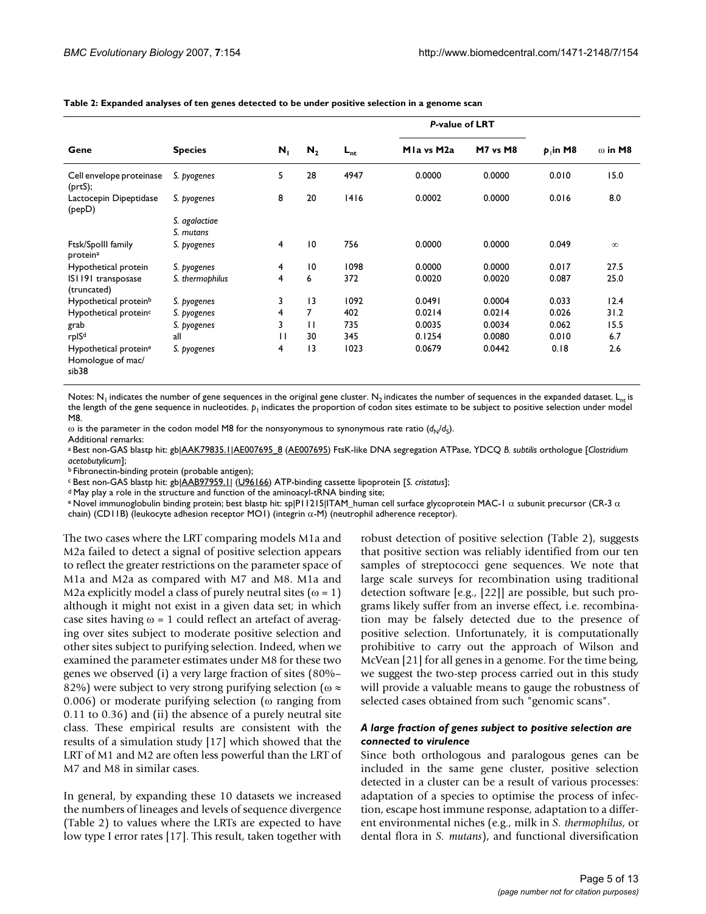|                                                                 |                 |              |       |          | <b>P-value of LRT</b> |          |             |                |
|-----------------------------------------------------------------|-----------------|--------------|-------|----------|-----------------------|----------|-------------|----------------|
| Gene                                                            | <b>Species</b>  | $N_{\rm I}$  | $N_2$ | $L_{nt}$ | Mla vs M2a            | M7 vs M8 | $p_1$ in M8 | $\omega$ in M8 |
| Cell envelope proteinase<br>$(\text{prt});$                     | S. pyogenes     | 5            | 28    | 4947     | 0.0000                | 0.0000   | 0.010       | 15.0           |
| Lactocepin Dipeptidase<br>(pepD)                                | S. pyogenes     | 8            | 20    | 1416     | 0.0002                | 0.0000   | 0.016       | 8.0            |
|                                                                 | S. agalactiae   |              |       |          |                       |          |             |                |
|                                                                 | S. mutans       |              |       |          |                       |          |             |                |
| Ftsk/SpollI family<br>protein <sup>a</sup>                      | S. pyogenes     | 4            | 10    | 756      | 0.0000                | 0.0000   | 0.049       | $\infty$       |
| Hypothetical protein                                            | S. pyogenes     | 4            | 10    | 1098     | 0.0000                | 0.0000   | 0.017       | 27.5           |
| ISI191 transposase<br>(truncated)                               | S. thermophilus | 4            | 6     | 372      | 0.0020                | 0.0020   | 0.087       | 25.0           |
| Hypothetical protein <sup>b</sup>                               | S. pyogenes     | 3            | 13    | 1092     | 0.0491                | 0.0004   | 0.033       | 12.4           |
| Hypothetical protein <sup>c</sup>                               | S. pyogenes     | 4            | 7     | 402      | 0.0214                | 0.0214   | 0.026       | 31.2           |
| grab                                                            | S. pyogenes     | 3            | П     | 735      | 0.0035                | 0.0034   | 0.062       | 15.5           |
| rpIS <sup>d</sup>                                               | all             | $\mathbf{1}$ | 30    | 345      | 0.1254                | 0.0080   | 0.010       | 6.7            |
| Hypothetical protein <sup>e</sup><br>Homologue of mac/<br>sib38 | S. pyogenes     | 4            | 3     | 1023     | 0.0679                | 0.0442   | 0.18        | 2.6            |

**Table 2: Expanded analyses of ten genes detected to be under positive selection in a genome scan**

Notes: N<sub>1</sub> indicates the number of gene sequences in the original gene cluster. N<sub>2</sub> indicates the number of sequences in the expanded dataset. L<sub>nt</sub> is the length of the gene sequence in nucleotides.  $p_1$  indicates the proportion of codon sites estimate to be subject to positive selection under model M8.

ω is the parameter in the codon model M8 for the nonsyonymous to synonymous rate ratio  $(d_N/d_S)$ .

Additional remarks:

<sup>a</sup> Best non-GAS blastp hit: gb[|AAK79835.1](http://www.ncbi.nih.gov/entrez/query.fcgi?db=Nucleotide&cmd=search&term=AAK79835.1)[|AE007695\\_8](http://www.ncbi.nih.gov/entrez/query.fcgi?db=Nucleotide&cmd=search&term=AE007695_8) ([AE007695](http://www.ncbi.nih.gov/entrez/query.fcgi?db=Nucleotide&cmd=search&term=AE007695)) FtsK-like DNA segregation ATPase, YDCQ B. subtilis orthologue [Clostridium *acetobutylicum*];

b Fibronectin-binding protein (probable antigen);

c Best non-GAS blastp hit: gb[|AAB97959.1|](http://www.ncbi.nih.gov/entrez/query.fcgi?db=Nucleotide&cmd=search&term=AAB97959.1) ([U96166](http://www.ncbi.nih.gov/entrez/query.fcgi?db=Nucleotide&cmd=search&term=U96166)) ATP-binding cassette lipoprotein [*S. cristatus*];

d May play a role in the structure and function of the aminoacyl-tRNA binding site;

e Novel immunoglobulin binding protein; best blastp hit: sp|P11215|ITAM\_human cell surface glycoprotein MAC-1  $\alpha$  subunit precursor (CR-3  $\alpha$ 

chain) (CD11B) (leukocyte adhesion receptor MO1) (integrin α-M) (neutrophil adherence receptor).

The two cases where the LRT comparing models M1a and M2a failed to detect a signal of positive selection appears to reflect the greater restrictions on the parameter space of M1a and M2a as compared with M7 and M8. M1a and M2a explicitly model a class of purely neutral sites ( $\omega = 1$ ) although it might not exist in a given data set; in which case sites having  $\omega = 1$  could reflect an artefact of averaging over sites subject to moderate positive selection and other sites subject to purifying selection. Indeed, when we examined the parameter estimates under M8 for these two genes we observed (i) a very large fraction of sites (80%– 82%) were subject to very strong purifying selection ( $\omega \approx$ 0.006) or moderate purifying selection ( $\omega$  ranging from 0.11 to 0.36) and (ii) the absence of a purely neutral site class. These empirical results are consistent with the results of a simulation study [17] which showed that the LRT of M1 and M2 are often less powerful than the LRT of M7 and M8 in similar cases.

In general, by expanding these 10 datasets we increased the numbers of lineages and levels of sequence divergence (Table 2) to values where the LRTs are expected to have low type I error rates [17]. This result, taken together with robust detection of positive selection (Table 2), suggests that positive section was reliably identified from our ten samples of streptococci gene sequences. We note that large scale surveys for recombination using traditional detection software [e.g., [22]] are possible, but such programs likely suffer from an inverse effect, i.e. recombination may be falsely detected due to the presence of positive selection. Unfortunately, it is computationally prohibitive to carry out the approach of Wilson and McVean [21] for all genes in a genome. For the time being, we suggest the two-step process carried out in this study will provide a valuable means to gauge the robustness of selected cases obtained from such "genomic scans".

#### *A large fraction of genes subject to positive selection are connected to virulence*

Since both orthologous and paralogous genes can be included in the same gene cluster, positive selection detected in a cluster can be a result of various processes: adaptation of a species to optimise the process of infection, escape host immune response, adaptation to a different environmental niches (e.g., milk in *S. thermophilus*, or dental flora in *S. mutans*), and functional diversification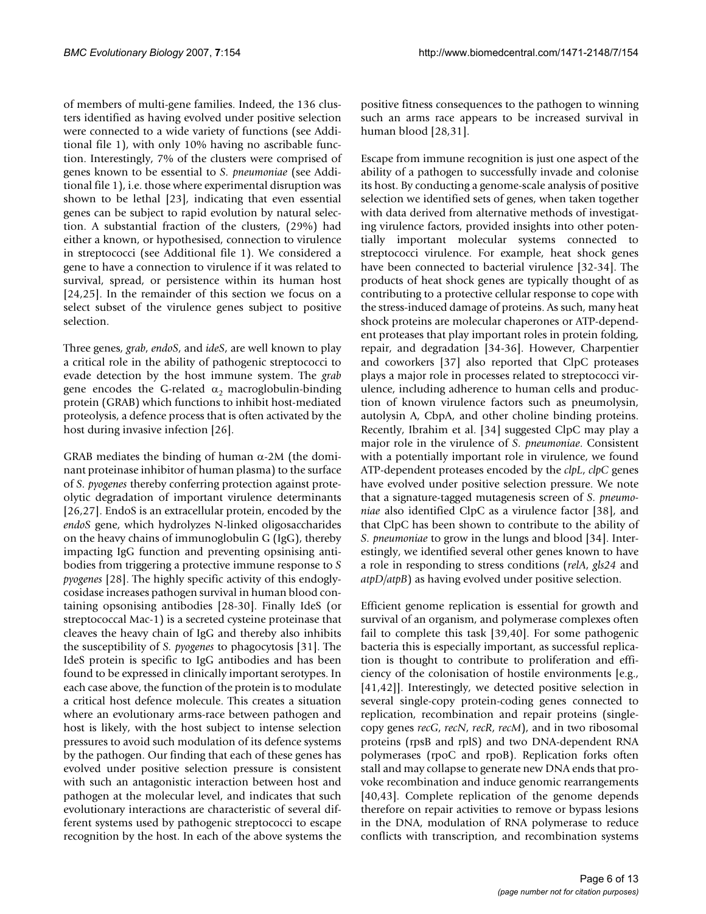of members of multi-gene families. Indeed, the 136 clusters identified as having evolved under positive selection were connected to a wide variety of functions (see Additional file 1), with only 10% having no ascribable function. Interestingly, 7% of the clusters were comprised of genes known to be essential to *S. pneumoniae* (see Additional file 1), i.e. those where experimental disruption was shown to be lethal [23], indicating that even essential genes can be subject to rapid evolution by natural selection. A substantial fraction of the clusters, (29%) had either a known, or hypothesised, connection to virulence in streptococci (see Additional file 1). We considered a gene to have a connection to virulence if it was related to survival, spread, or persistence within its human host [24,25]. In the remainder of this section we focus on a select subset of the virulence genes subject to positive selection.

Three genes, *grab*, *endoS*, and *ideS*, are well known to play a critical role in the ability of pathogenic streptococci to evade detection by the host immune system. The *grab* gene encodes the G-related  $\alpha_2$  macroglobulin-binding protein (GRAB) which functions to inhibit host-mediated proteolysis, a defence process that is often activated by the host during invasive infection [26].

GRAB mediates the binding of human  $\alpha$ -2M (the dominant proteinase inhibitor of human plasma) to the surface of *S. pyogenes* thereby conferring protection against proteolytic degradation of important virulence determinants [26,27]. EndoS is an extracellular protein, encoded by the *endoS* gene, which hydrolyzes N-linked oligosaccharides on the heavy chains of immunoglobulin G (IgG), thereby impacting IgG function and preventing opsinising antibodies from triggering a protective immune response to *S pyogenes* [28]. The highly specific activity of this endoglycosidase increases pathogen survival in human blood containing opsonising antibodies [28-30]. Finally IdeS (or streptococcal Mac-1) is a secreted cysteine proteinase that cleaves the heavy chain of IgG and thereby also inhibits the susceptibility of *S. pyogenes* to phagocytosis [31]. The IdeS protein is specific to IgG antibodies and has been found to be expressed in clinically important serotypes. In each case above, the function of the protein is to modulate a critical host defence molecule. This creates a situation where an evolutionary arms-race between pathogen and host is likely, with the host subject to intense selection pressures to avoid such modulation of its defence systems by the pathogen. Our finding that each of these genes has evolved under positive selection pressure is consistent with such an antagonistic interaction between host and pathogen at the molecular level, and indicates that such evolutionary interactions are characteristic of several different systems used by pathogenic streptococci to escape recognition by the host. In each of the above systems the positive fitness consequences to the pathogen to winning such an arms race appears to be increased survival in human blood [28,31].

Escape from immune recognition is just one aspect of the ability of a pathogen to successfully invade and colonise its host. By conducting a genome-scale analysis of positive selection we identified sets of genes, when taken together with data derived from alternative methods of investigating virulence factors, provided insights into other potentially important molecular systems connected to streptococci virulence. For example, heat shock genes have been connected to bacterial virulence [32-34]. The products of heat shock genes are typically thought of as contributing to a protective cellular response to cope with the stress-induced damage of proteins. As such, many heat shock proteins are molecular chaperones or ATP-dependent proteases that play important roles in protein folding, repair, and degradation [34-36]. However, Charpentier and coworkers [37] also reported that ClpC proteases plays a major role in processes related to streptococci virulence, including adherence to human cells and production of known virulence factors such as pneumolysin, autolysin A, CbpA, and other choline binding proteins. Recently, Ibrahim et al. [34] suggested ClpC may play a major role in the virulence of *S. pneumoniae*. Consistent with a potentially important role in virulence, we found ATP-dependent proteases encoded by the *clpL*, *clpC* genes have evolved under positive selection pressure. We note that a signature-tagged mutagenesis screen of *S. pneumoniae* also identified ClpC as a virulence factor [38], and that ClpC has been shown to contribute to the ability of *S. pneumoniae* to grow in the lungs and blood [34]. Interestingly, we identified several other genes known to have a role in responding to stress conditions (*relA*, *gls24* and *atpD/atpB*) as having evolved under positive selection.

Efficient genome replication is essential for growth and survival of an organism, and polymerase complexes often fail to complete this task [39,40]. For some pathogenic bacteria this is especially important, as successful replication is thought to contribute to proliferation and efficiency of the colonisation of hostile environments [e.g., [41,42]]. Interestingly, we detected positive selection in several single-copy protein-coding genes connected to replication, recombination and repair proteins (singlecopy genes *recG*, *recN*, *recR*, *recM*), and in two ribosomal proteins (rpsB and rplS) and two DNA-dependent RNA polymerases (rpoC and rpoB). Replication forks often stall and may collapse to generate new DNA ends that provoke recombination and induce genomic rearrangements [40,43]. Complete replication of the genome depends therefore on repair activities to remove or bypass lesions in the DNA, modulation of RNA polymerase to reduce conflicts with transcription, and recombination systems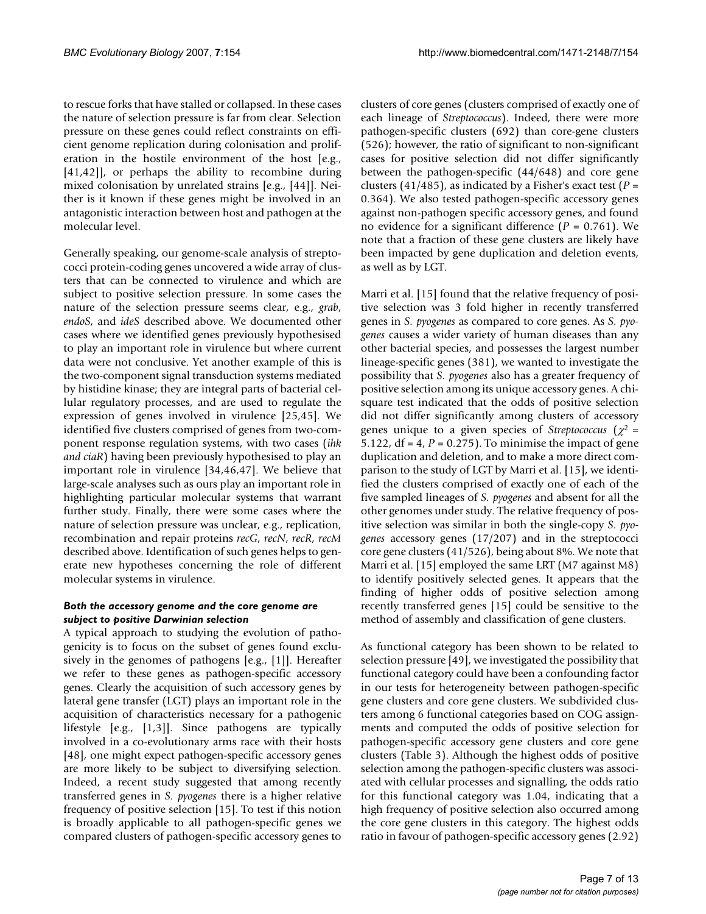to rescue forks that have stalled or collapsed. In these cases the nature of selection pressure is far from clear. Selection pressure on these genes could reflect constraints on efficient genome replication during colonisation and proliferation in the hostile environment of the host [e.g., [41,42]], or perhaps the ability to recombine during mixed colonisation by unrelated strains [e.g., [44]]. Neither is it known if these genes might be involved in an antagonistic interaction between host and pathogen at the molecular level.

Generally speaking, our genome-scale analysis of streptococci protein-coding genes uncovered a wide array of clusters that can be connected to virulence and which are subject to positive selection pressure. In some cases the nature of the selection pressure seems clear, e.g., *grab*, *endoS*, and *ideS* described above. We documented other cases where we identified genes previously hypothesised to play an important role in virulence but where current data were not conclusive. Yet another example of this is the two-component signal transduction systems mediated by histidine kinase; they are integral parts of bacterial cellular regulatory processes, and are used to regulate the expression of genes involved in virulence [25,45]. We identified five clusters comprised of genes from two-component response regulation systems, with two cases (*ihk and ciaR*) having been previously hypothesised to play an important role in virulence [34,46,47]. We believe that large-scale analyses such as ours play an important role in highlighting particular molecular systems that warrant further study. Finally, there were some cases where the nature of selection pressure was unclear, e.g., replication, recombination and repair proteins *recG*, *recN*, *recR*, *recM* described above. Identification of such genes helps to generate new hypotheses concerning the role of different molecular systems in virulence.

## *Both the accessory genome and the core genome are subject to positive Darwinian selection*

A typical approach to studying the evolution of pathogenicity is to focus on the subset of genes found exclusively in the genomes of pathogens [e.g., [1]]. Hereafter we refer to these genes as pathogen-specific accessory genes. Clearly the acquisition of such accessory genes by lateral gene transfer (LGT) plays an important role in the acquisition of characteristics necessary for a pathogenic lifestyle [e.g., [1,3]]. Since pathogens are typically involved in a co-evolutionary arms race with their hosts [48], one might expect pathogen-specific accessory genes are more likely to be subject to diversifying selection. Indeed, a recent study suggested that among recently transferred genes in *S. pyogenes* there is a higher relative frequency of positive selection [15]. To test if this notion is broadly applicable to all pathogen-specific genes we compared clusters of pathogen-specific accessory genes to

clusters of core genes (clusters comprised of exactly one of each lineage of *Streptococcus*). Indeed, there were more pathogen-specific clusters (692) than core-gene clusters (526); however, the ratio of significant to non-significant cases for positive selection did not differ significantly between the pathogen-specific (44/648) and core gene clusters (41/485), as indicated by a Fisher's exact test (*P* = 0.364). We also tested pathogen-specific accessory genes against non-pathogen specific accessory genes, and found no evidence for a significant difference (*P* = 0.761). We note that a fraction of these gene clusters are likely have been impacted by gene duplication and deletion events, as well as by LGT.

Marri et al. [15] found that the relative frequency of positive selection was 3 fold higher in recently transferred genes in *S. pyogenes* as compared to core genes. As *S. pyogenes* causes a wider variety of human diseases than any other bacterial species, and possesses the largest number lineage-specific genes (381), we wanted to investigate the possibility that *S. pyogenes* also has a greater frequency of positive selection among its unique accessory genes. A chisquare test indicated that the odds of positive selection did not differ significantly among clusters of accessory genes unique to a given species of *Streptococcus* ( $\chi^2$  = 5.122, df = 4, *P* = 0.275). To minimise the impact of gene duplication and deletion, and to make a more direct comparison to the study of LGT by Marri et al. [15], we identified the clusters comprised of exactly one of each of the five sampled lineages of *S. pyogenes* and absent for all the other genomes under study. The relative frequency of positive selection was similar in both the single-copy *S. pyogenes* accessory genes (17/207) and in the streptococci core gene clusters (41/526), being about 8%. We note that Marri et al. [15] employed the same LRT (M7 against M8) to identify positively selected genes. It appears that the finding of higher odds of positive selection among recently transferred genes [15] could be sensitive to the method of assembly and classification of gene clusters.

As functional category has been shown to be related to selection pressure [49], we investigated the possibility that functional category could have been a confounding factor in our tests for heterogeneity between pathogen-specific gene clusters and core gene clusters. We subdivided clusters among 6 functional categories based on COG assignments and computed the odds of positive selection for pathogen-specific accessory gene clusters and core gene clusters (Table 3). Although the highest odds of positive selection among the pathogen-specific clusters was associated with cellular processes and signalling, the odds ratio for this functional category was 1.04, indicating that a high frequency of positive selection also occurred among the core gene clusters in this category. The highest odds ratio in favour of pathogen-specific accessory genes (2.92)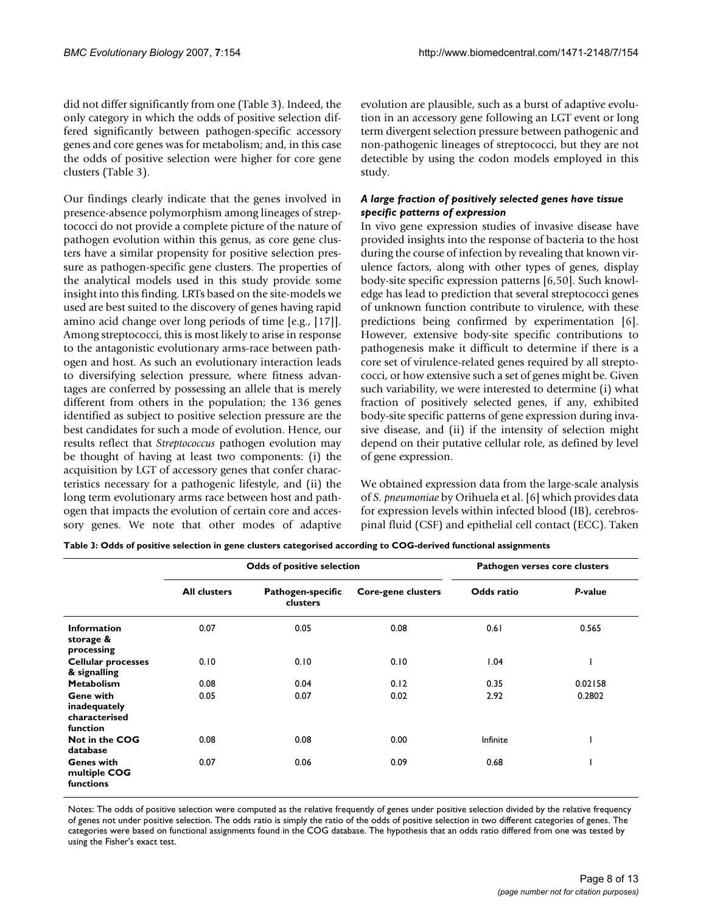did not differ significantly from one (Table 3). Indeed, the only category in which the odds of positive selection differed significantly between pathogen-specific accessory genes and core genes was for metabolism; and, in this case the odds of positive selection were higher for core gene clusters (Table 3).

Our findings clearly indicate that the genes involved in presence-absence polymorphism among lineages of streptococci do not provide a complete picture of the nature of pathogen evolution within this genus, as core gene clusters have a similar propensity for positive selection pressure as pathogen-specific gene clusters. The properties of the analytical models used in this study provide some insight into this finding. LRTs based on the site-models we used are best suited to the discovery of genes having rapid amino acid change over long periods of time [e.g., [17]]. Among streptococci, this is most likely to arise in response to the antagonistic evolutionary arms-race between pathogen and host. As such an evolutionary interaction leads to diversifying selection pressure, where fitness advantages are conferred by possessing an allele that is merely different from others in the population; the 136 genes identified as subject to positive selection pressure are the best candidates for such a mode of evolution. Hence, our results reflect that *Streptococcus* pathogen evolution may be thought of having at least two components: (i) the acquisition by LGT of accessory genes that confer characteristics necessary for a pathogenic lifestyle, and (ii) the long term evolutionary arms race between host and pathogen that impacts the evolution of certain core and accessory genes. We note that other modes of adaptive evolution are plausible, such as a burst of adaptive evolution in an accessory gene following an LGT event or long term divergent selection pressure between pathogenic and non-pathogenic lineages of streptococci, but they are not detectible by using the codon models employed in this study.

## *A large fraction of positively selected genes have tissue specific patterns of expression*

In vivo gene expression studies of invasive disease have provided insights into the response of bacteria to the host during the course of infection by revealing that known virulence factors, along with other types of genes, display body-site specific expression patterns [6,50]. Such knowledge has lead to prediction that several streptococci genes of unknown function contribute to virulence, with these predictions being confirmed by experimentation [6]. However, extensive body-site specific contributions to pathogenesis make it difficult to determine if there is a core set of virulence-related genes required by all streptococci, or how extensive such a set of genes might be. Given such variability, we were interested to determine (i) what fraction of positively selected genes, if any, exhibited body-site specific patterns of gene expression during invasive disease, and (ii) if the intensity of selection might depend on their putative cellular role, as defined by level of gene expression.

We obtained expression data from the large-scale analysis of *S. pneumoniae* by Orihuela et al. [6] which provides data for expression levels within infected blood (IB), cerebrospinal fluid (CSF) and epithelial cell contact (ECC). Taken

|  | Table 3: Odds of positive selection in gene clusters categorised according to COG-derived functional assignments |  |
|--|------------------------------------------------------------------------------------------------------------------|--|
|--|------------------------------------------------------------------------------------------------------------------|--|

|                                                               | <b>Odds of positive selection</b> |                               |                           | Pathogen verses core clusters |         |
|---------------------------------------------------------------|-----------------------------------|-------------------------------|---------------------------|-------------------------------|---------|
|                                                               | <b>All clusters</b>               | Pathogen-specific<br>clusters | <b>Core-gene clusters</b> | Odds ratio                    | P-value |
| <b>Information</b><br>storage &<br>processing                 | 0.07                              | 0.05                          | 0.08                      | 0.61                          | 0.565   |
| <b>Cellular processes</b><br>& signalling                     | 0.10                              | 0.10                          | 0.10                      | 1.04                          |         |
| <b>Metabolism</b>                                             | 0.08                              | 0.04                          | 0.12                      | 0.35                          | 0.02158 |
| <b>Gene with</b><br>inadequately<br>characterised<br>function | 0.05                              | 0.07                          | 0.02                      | 2.92                          | 0.2802  |
| Not in the COG<br>database                                    | 0.08                              | 0.08                          | 0.00                      | Infinite                      |         |
| <b>Genes with</b><br>multiple COG<br>functions                | 0.07                              | 0.06                          | 0.09                      | 0.68                          |         |

Notes: The odds of positive selection were computed as the relative frequently of genes under positive selection divided by the relative frequency of genes not under positive selection. The odds ratio is simply the ratio of the odds of positive selection in two different categories of genes. The categories were based on functional assignments found in the COG database. The hypothesis that an odds ratio differed from one was tested by using the Fisher's exact test.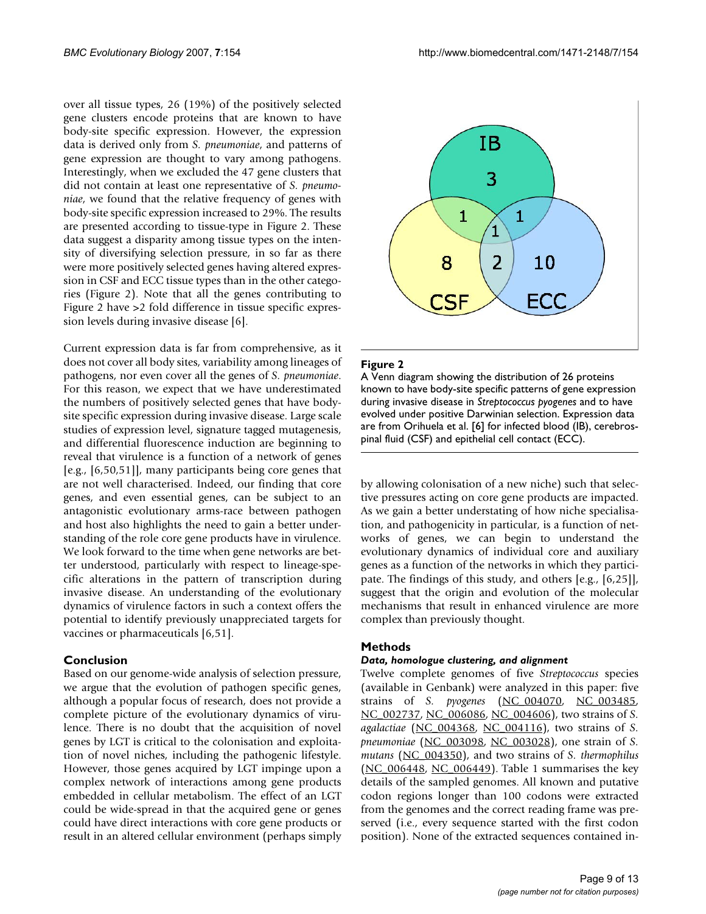over all tissue types, 26 (19%) of the positively selected gene clusters encode proteins that are known to have body-site specific expression. However, the expression data is derived only from *S. pneumoniae*, and patterns of gene expression are thought to vary among pathogens. Interestingly, when we excluded the 47 gene clusters that did not contain at least one representative of *S. pneumoniae*, we found that the relative frequency of genes with body-site specific expression increased to 29%. The results are presented according to tissue-type in Figure 2. These data suggest a disparity among tissue types on the intensity of diversifying selection pressure, in so far as there were more positively selected genes having altered expression in CSF and ECC tissue types than in the other categories (Figure 2). Note that all the genes contributing to Figure 2 have >2 fold difference in tissue specific expression levels during invasive disease [6].

Current expression data is far from comprehensive, as it does not cover all body sites, variability among lineages of pathogens, nor even cover all the genes of *S. pneumoniae*. For this reason, we expect that we have underestimated the numbers of positively selected genes that have bodysite specific expression during invasive disease. Large scale studies of expression level, signature tagged mutagenesis, and differential fluorescence induction are beginning to reveal that virulence is a function of a network of genes [e.g., [6,50,51]], many participants being core genes that are not well characterised. Indeed, our finding that core genes, and even essential genes, can be subject to an antagonistic evolutionary arms-race between pathogen and host also highlights the need to gain a better understanding of the role core gene products have in virulence. We look forward to the time when gene networks are better understood, particularly with respect to lineage-specific alterations in the pattern of transcription during invasive disease. An understanding of the evolutionary dynamics of virulence factors in such a context offers the potential to identify previously unappreciated targets for vaccines or pharmaceuticals [6,51].

#### **Conclusion**

Based on our genome-wide analysis of selection pressure, we argue that the evolution of pathogen specific genes, although a popular focus of research, does not provide a complete picture of the evolutionary dynamics of virulence. There is no doubt that the acquisition of novel genes by LGT is critical to the colonisation and exploitation of novel niches, including the pathogenic lifestyle. However, those genes acquired by LGT impinge upon a complex network of interactions among gene products embedded in cellular metabolism. The effect of an LGT could be wide-spread in that the acquired gene or genes could have direct interactions with core gene products or result in an altered cellular environment (perhaps simply



#### Figure 2

A Venn diagram showing the distribution of 26 proteins known to have body-site specific patterns of gene expression during invasive disease in *Streptococcus pyogenes* and to have evolved under positive Darwinian selection. Expression data are from Orihuela et al. [6] for infected blood (IB), cerebrospinal fluid (CSF) and epithelial cell contact (ECC).

by allowing colonisation of a new niche) such that selective pressures acting on core gene products are impacted. As we gain a better understating of how niche specialisation, and pathogenicity in particular, is a function of networks of genes, we can begin to understand the evolutionary dynamics of individual core and auxiliary genes as a function of the networks in which they participate. The findings of this study, and others [e.g., [6,25]], suggest that the origin and evolution of the molecular mechanisms that result in enhanced virulence are more complex than previously thought.

## **Methods**

#### *Data, homologue clustering, and alignment*

Twelve complete genomes of five *Streptococcus* species (available in Genbank) were analyzed in this paper: five strains of *S. pyogenes* ([NC\\_004070](http://www.ncbi.nih.gov/entrez/query.fcgi?db=Nucleotide&cmd=search&term=NC_004070), [NC\\_003485,](http://www.ncbi.nih.gov/entrez/query.fcgi?db=Nucleotide&cmd=search&term=NC_003485) [NC\\_002737,](http://www.ncbi.nih.gov/entrez/query.fcgi?db=Nucleotide&cmd=search&term=NC_002737) [NC\\_006086](http://www.ncbi.nih.gov/entrez/query.fcgi?db=Nucleotide&cmd=search&term=NC_006086), [NC\\_004606\)](http://www.ncbi.nih.gov/entrez/query.fcgi?db=Nucleotide&cmd=search&term=NC_004606), two strains of *S. agalactiae* ([NC\\_004368](http://www.ncbi.nih.gov/entrez/query.fcgi?db=Nucleotide&cmd=search&term=NC_004368), [NC\\_004116\)](http://www.ncbi.nih.gov/entrez/query.fcgi?db=Nucleotide&cmd=search&term=NC_004116), two strains of *S. pneumoniae* [\(NC\\_003098,](http://www.ncbi.nih.gov/entrez/query.fcgi?db=Nucleotide&cmd=search&term=NC_003098) [NC\\_003028](http://www.ncbi.nih.gov/entrez/query.fcgi?db=Nucleotide&cmd=search&term=NC_003028)), one strain of *S. mutans* [\(NC\\_004350\)](http://www.ncbi.nih.gov/entrez/query.fcgi?db=Nucleotide&cmd=search&term=NC_004350), and two strains of *S. thermophilus* [\(NC\\_006448,](http://www.ncbi.nih.gov/entrez/query.fcgi?db=Nucleotide&cmd=search&term=NC_006448) [NC\\_006449\)](http://www.ncbi.nih.gov/entrez/query.fcgi?db=Nucleotide&cmd=search&term=NC_006449). Table 1 summarises the key details of the sampled genomes. All known and putative codon regions longer than 100 codons were extracted from the genomes and the correct reading frame was preserved (i.e., every sequence started with the first codon position). None of the extracted sequences contained in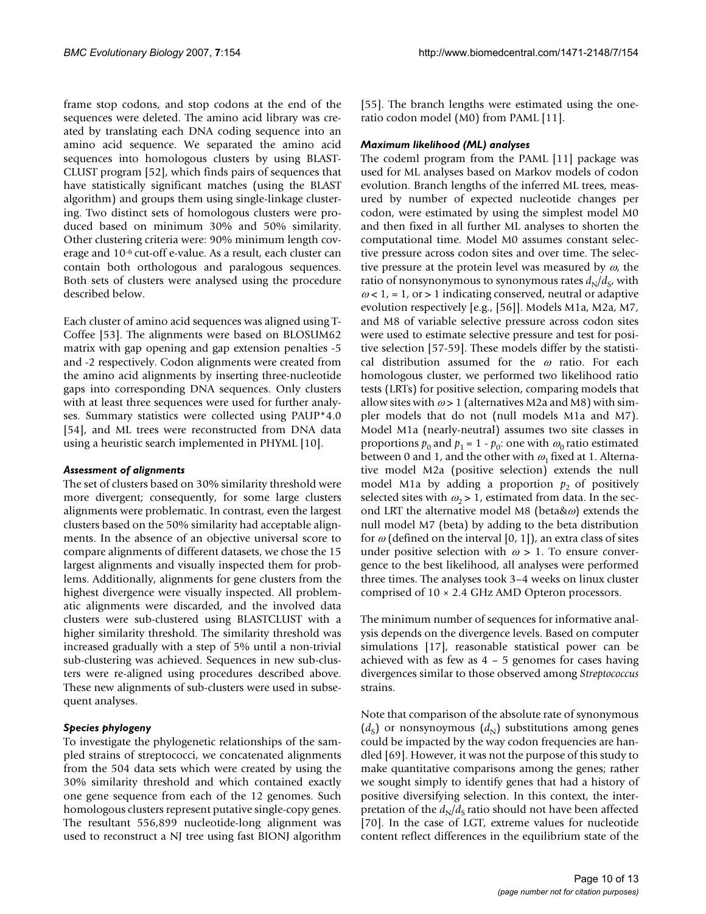frame stop codons, and stop codons at the end of the sequences were deleted. The amino acid library was created by translating each DNA coding sequence into an amino acid sequence. We separated the amino acid sequences into homologous clusters by using BLAST-CLUST program [52], which finds pairs of sequences that have statistically significant matches (using the BLAST algorithm) and groups them using single-linkage clustering. Two distinct sets of homologous clusters were produced based on minimum 30% and 50% similarity. Other clustering criteria were: 90% minimum length coverage and 10-6 cut-off e-value. As a result, each cluster can contain both orthologous and paralogous sequences. Both sets of clusters were analysed using the procedure described below.

Each cluster of amino acid sequences was aligned using T-Coffee [53]. The alignments were based on BLOSUM62 matrix with gap opening and gap extension penalties -5 and -2 respectively. Codon alignments were created from the amino acid alignments by inserting three-nucleotide gaps into corresponding DNA sequences. Only clusters with at least three sequences were used for further analyses. Summary statistics were collected using PAUP\*4.0 [54], and ML trees were reconstructed from DNA data using a heuristic search implemented in PHYML [10].

#### *Assessment of alignments*

The set of clusters based on 30% similarity threshold were more divergent; consequently, for some large clusters alignments were problematic. In contrast, even the largest clusters based on the 50% similarity had acceptable alignments. In the absence of an objective universal score to compare alignments of different datasets, we chose the 15 largest alignments and visually inspected them for problems. Additionally, alignments for gene clusters from the highest divergence were visually inspected. All problematic alignments were discarded, and the involved data clusters were sub-clustered using BLASTCLUST with a higher similarity threshold. The similarity threshold was increased gradually with a step of 5% until a non-trivial sub-clustering was achieved. Sequences in new sub-clusters were re-aligned using procedures described above. These new alignments of sub-clusters were used in subsequent analyses.

#### *Species phylogeny*

To investigate the phylogenetic relationships of the sampled strains of streptococci, we concatenated alignments from the 504 data sets which were created by using the 30% similarity threshold and which contained exactly one gene sequence from each of the 12 genomes. Such homologous clusters represent putative single-copy genes. The resultant 556,899 nucleotide-long alignment was used to reconstruct a NJ tree using fast BIONJ algorithm

[55]. The branch lengths were estimated using the oneratio codon model (M0) from PAML [11].

#### *Maximum likelihood (ML) analyses*

The codeml program from the PAML [11] package was used for ML analyses based on Markov models of codon evolution. Branch lengths of the inferred ML trees, measured by number of expected nucleotide changes per codon, were estimated by using the simplest model M0 and then fixed in all further ML analyses to shorten the computational time. Model M0 assumes constant selective pressure across codon sites and over time. The selective pressure at the protein level was measured by  $\omega$ , the ratio of nonsynonymous to synonymous rates  $d_N/d_S$ , with  $\omega$  < 1, = 1, or > 1 indicating conserved, neutral or adaptive evolution respectively [e.g., [56]]. Models M1a, M2a, M7, and M8 of variable selective pressure across codon sites were used to estimate selective pressure and test for positive selection [57-59]. These models differ by the statistical distribution assumed for the  $\omega$  ratio. For each homologous cluster, we performed two likelihood ratio tests (LRTs) for positive selection, comparing models that allow sites with  $\omega > 1$  (alternatives M2a and M8) with simpler models that do not (null models M1a and M7). Model M1a (nearly-neutral) assumes two site classes in proportions  $p_0$  and  $p_1 = 1 - p_0$ : one with  $\omega_0$  ratio estimated between 0 and 1, and the other with  $\omega_1$  fixed at 1. Alternative model M2a (positive selection) extends the null model M1a by adding a proportion  $p_2$  of positively selected sites with  $\omega_2 > 1$ , estimated from data. In the second LRT the alternative model M8 (beta& $\omega$ ) extends the null model M7 (beta) by adding to the beta distribution for  $\omega$  (defined on the interval [0, 1]), an extra class of sites under positive selection with  $\omega > 1$ . To ensure convergence to the best likelihood, all analyses were performed three times. The analyses took 3–4 weeks on linux cluster comprised of 10 × 2.4 GHz AMD Opteron processors.

The minimum number of sequences for informative analysis depends on the divergence levels. Based on computer simulations [17], reasonable statistical power can be achieved with as few as  $4 - 5$  genomes for cases having divergences similar to those observed among *Streptococcus* strains.

Note that comparison of the absolute rate of synonymous  $(d<sub>S</sub>)$  or nonsynoymous  $(d<sub>N</sub>)$  substitutions among genes could be impacted by the way codon frequencies are handled [69]. However, it was not the purpose of this study to make quantitative comparisons among the genes; rather we sought simply to identify genes that had a history of positive diversifying selection. In this context, the interpretation of the  $d_N/d_S$  ratio should not have been affected [70]. In the case of LGT, extreme values for nucleotide content reflect differences in the equilibrium state of the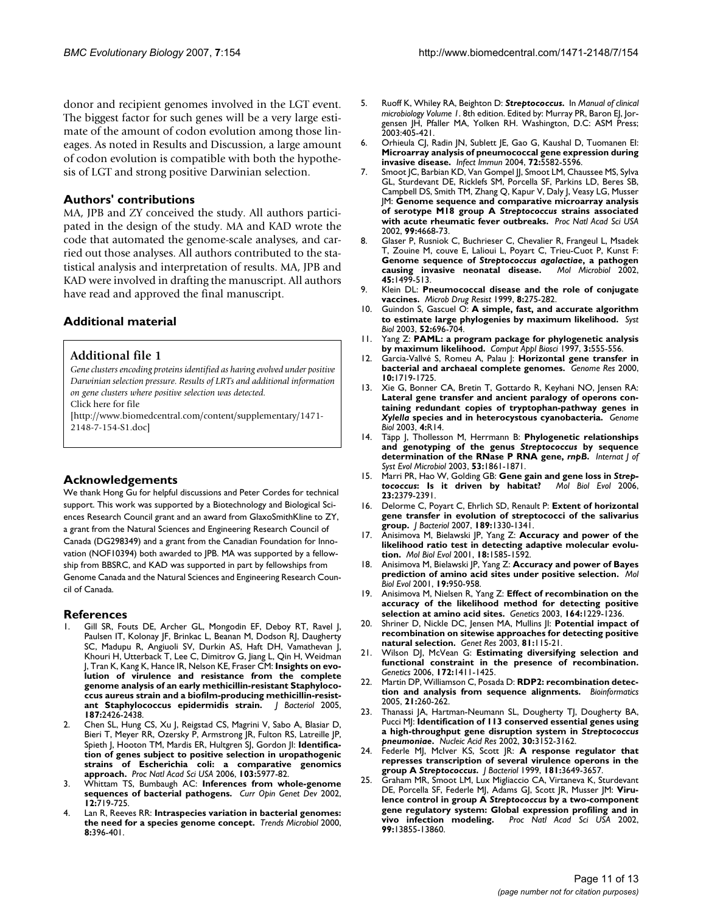donor and recipient genomes involved in the LGT event. The biggest factor for such genes will be a very large estimate of the amount of codon evolution among those lineages. As noted in Results and Discussion, a large amount of codon evolution is compatible with both the hypothesis of LGT and strong positive Darwinian selection.

## **Authors' contributions**

MA, JPB and ZY conceived the study. All authors participated in the design of the study. MA and KAD wrote the code that automated the genome-scale analyses, and carried out those analyses. All authors contributed to the statistical analysis and interpretation of results. MA, JPB and KAD were involved in drafting the manuscript. All authors have read and approved the final manuscript.

## **Additional material**

## **Additional file 1**

*Gene clusters encoding proteins identified as having evolved under positive Darwinian selection pressure. Results of LRTs and additional information on gene clusters where positive selection was detected.*

Click here for file

[\[http://www.biomedcentral.com/content/supplementary/1471-](http://www.biomedcentral.com/content/supplementary/1471-2148-7-154-S1.doc) 2148-7-154-S1.doc]

#### **Acknowledgements**

We thank Hong Gu for helpful discussions and Peter Cordes for technical support. This work was supported by a Biotechnology and Biological Sciences Research Council grant and an award from GlaxoSmithKline to ZY, a grant from the Natural Sciences and Engineering Research Council of Canada (DG298349) and a grant from the Canadian Foundation for Innovation (NOF10394) both awarded to JPB. MA was supported by a fellowship from BBSRC, and KAD was supported in part by fellowships from Genome Canada and the Natural Sciences and Engineering Research Council of Canada.

#### **References**

- Gill SR, Fouts DE, Archer GL, Mongodin EF, Deboy RT, Ravel J, Paulsen IT, Kolonay JF, Brinkac L, Beanan M, Dodson RJ, Daugherty SC, Madupu R, Angiuoli SV, Durkin AS, Haft DH, Vamathevan J, Khouri H, Utterback T, Lee C, Dimitrov G, Jiang L, Qin H, Weidman J, Tran K, Kang K, Hance IR, Nelson KE, Fraser CM: **[Insights on evo](http://www.ncbi.nlm.nih.gov/entrez/query.fcgi?cmd=Retrieve&db=PubMed&dopt=Abstract&list_uids=15774886)lution of virulence and resistance from the complete [genome analysis of an early methicillin-resistant Staphyloco](http://www.ncbi.nlm.nih.gov/entrez/query.fcgi?cmd=Retrieve&db=PubMed&dopt=Abstract&list_uids=15774886)ccus aureus strain and a biofilm-producing methicillin-resist[ant Staphylococcus epidermidis strain.](http://www.ncbi.nlm.nih.gov/entrez/query.fcgi?cmd=Retrieve&db=PubMed&dopt=Abstract&list_uids=15774886)** *J Bacteriol* 2005, **187:**2426-2438.
- 2. Chen SL, Hung CS, Xu J, Reigstad CS, Magrini V, Sabo A, Blasiar D, Bieri T, Meyer RR, Ozersky P, Armstrong JR, Fulton RS, Latreille JP, Spieth J, Hooton TM, Mardis ER, Hultgren SJ, Gordon JI: **[Identifica](http://www.ncbi.nlm.nih.gov/entrez/query.fcgi?cmd=Retrieve&db=PubMed&dopt=Abstract&list_uids=16585510)tion of genes subject to positive selection in uropathogenic [strains of Escherichia coli: a comparative genomics](http://www.ncbi.nlm.nih.gov/entrez/query.fcgi?cmd=Retrieve&db=PubMed&dopt=Abstract&list_uids=16585510) [approach.](http://www.ncbi.nlm.nih.gov/entrez/query.fcgi?cmd=Retrieve&db=PubMed&dopt=Abstract&list_uids=16585510)** *Proc Natl Acad Sci USA* 2006, **103:**5977-82.
- 3. Whittam TS, Bumbaugh AC: **[Inferences from whole-genome](http://www.ncbi.nlm.nih.gov/entrez/query.fcgi?cmd=Retrieve&db=PubMed&dopt=Abstract&list_uids=12433587) [sequences of bacterial pathogens.](http://www.ncbi.nlm.nih.gov/entrez/query.fcgi?cmd=Retrieve&db=PubMed&dopt=Abstract&list_uids=12433587)** *Curr Opin Genet Dev* 2002, **12:**719-725.
- Lan R, Reeves RR: [Intraspecies variation in bacterial genomes:](http://www.ncbi.nlm.nih.gov/entrez/query.fcgi?cmd=Retrieve&db=PubMed&dopt=Abstract&list_uids=10989306) **[the need for a species genome concept.](http://www.ncbi.nlm.nih.gov/entrez/query.fcgi?cmd=Retrieve&db=PubMed&dopt=Abstract&list_uids=10989306)** *Trends Microbiol* 2000, **8:**396-401.
- 5. Ruoff K, Whiley RA, Beighton D: *Streptococcus***.** In *Manual of clinical microbiology Volume 1*. 8th edition. Edited by: Murray PR, Baron EJ, Jorgensen JH, Pfaller MA, Yolken RH. Washington, D.C: ASM Press; 2003:405-421.
- 6. Orhieula CJ, Radin JN, Sublett JE, Gao G, Kaushal D, Tuomanen EI: **[Microarray analysis of pneumococcal gene expression during](http://www.ncbi.nlm.nih.gov/entrez/query.fcgi?cmd=Retrieve&db=PubMed&dopt=Abstract&list_uids=15385455) [invasive disease.](http://www.ncbi.nlm.nih.gov/entrez/query.fcgi?cmd=Retrieve&db=PubMed&dopt=Abstract&list_uids=15385455)** *Infect Immun* 2004, **72:**5582-5596.
- 7. Smoot JC, Barbian KD, Van Gompel JJ, Smoot LM, Chaussee MS, Sylva GL, Sturdevant DE, Ricklefs SM, Porcella SF, Parkins LD, Beres SB, Campbell DS, Smith TM, Zhang Q, Kapur V, Daly J, Veasy LG, Musser JM: **Genome sequence and comparative microarray analysis of serotype M18 group A** *Streptococcus* **[strains associated](http://www.ncbi.nlm.nih.gov/entrez/query.fcgi?cmd=Retrieve&db=PubMed&dopt=Abstract&list_uids=11917108) [with acute rheumatic fever outbreaks.](http://www.ncbi.nlm.nih.gov/entrez/query.fcgi?cmd=Retrieve&db=PubMed&dopt=Abstract&list_uids=11917108)** *Proc Natl Acad Sci USA* 2002, **99:**4668-73.
- 8. Glaser P, Rusniok C, Buchrieser C, Chevalier R, Frangeul L, Msadek T, Zouine M, couve E, Lalioui L, Poyart C, Trieu-Cuot P, Kunst F: **Genome sequence of** *Streptococcus agalactiae***[, a pathogen](http://www.ncbi.nlm.nih.gov/entrez/query.fcgi?cmd=Retrieve&db=PubMed&dopt=Abstract&list_uids=12354221)**  $causing$  invasive neonatal disease. **45:**1499-513.
- 9. Klein DL: **Pneumococcal disease and the role of conjugate vaccines.** *Microb Drug Resist* 1999, **8:**275-282.
- 10. Guindon S, Gascuel O: **[A simple, fast, and accurate algorithm](http://www.ncbi.nlm.nih.gov/entrez/query.fcgi?cmd=Retrieve&db=PubMed&dopt=Abstract&list_uids=14530136) [to estimate large phylogenies by maximum likelihood.](http://www.ncbi.nlm.nih.gov/entrez/query.fcgi?cmd=Retrieve&db=PubMed&dopt=Abstract&list_uids=14530136)** *Syst Biol* 2003, **52:**696-704.
- 11. Yang Z: **PAML: a program package for phylogenetic analysis by maximum likelihood.** *Comput Appl Biosci* 1997, **3:**555-556.
- 12. Garcia-Vallvé S, Romeu A, Palau J: **[Horizontal gene transfer in](http://www.ncbi.nlm.nih.gov/entrez/query.fcgi?cmd=Retrieve&db=PubMed&dopt=Abstract&list_uids=11076857) [bacterial and archaeal complete genomes.](http://www.ncbi.nlm.nih.gov/entrez/query.fcgi?cmd=Retrieve&db=PubMed&dopt=Abstract&list_uids=11076857)** *Genome Res* 2000, **10:**1719-1725.
- 13. Xie G, Bonner CA, Bretin T, Gottardo R, Keyhani NO, Jensen RA: **Lateral gene transfer and ancient paralogy of operons containing redundant copies of tryptophan-pathway genes in** *Xylella* **[species and in heterocystous cyanobacteria.](http://www.ncbi.nlm.nih.gov/entrez/query.fcgi?cmd=Retrieve&db=PubMed&dopt=Abstract&list_uids=12620124)** *Genome Biol* 2003, **4:**R14.
- 14. Täpp J, Thollesson M, Herrmann B: **Phylogenetic relationships and genotyping of the genus** *Streptococcus* **by sequence determination of the RNase P RNA gene,** *rnpB***.** *Internat J of Syst Evol Microbiol* 2003, **53:**1861-1871.
- 15. Marri PR, Hao W, Golding GB: **Gene gain and gene loss in** *Streptococcus*[: Is it driven by habitat?](http://www.ncbi.nlm.nih.gov/entrez/query.fcgi?cmd=Retrieve&db=PubMed&dopt=Abstract&list_uids=16966682) **23:**2379-2391.
- 16. Delorme C, Poyart C, Ehrlich SD, Renault P: **[Extent of horizontal](http://www.ncbi.nlm.nih.gov/entrez/query.fcgi?cmd=Retrieve&db=PubMed&dopt=Abstract&list_uids=17085557) [gene transfer in evolution of streptococci of the salivarius](http://www.ncbi.nlm.nih.gov/entrez/query.fcgi?cmd=Retrieve&db=PubMed&dopt=Abstract&list_uids=17085557) [group.](http://www.ncbi.nlm.nih.gov/entrez/query.fcgi?cmd=Retrieve&db=PubMed&dopt=Abstract&list_uids=17085557)** *J Bacteriol* 2007, **189:**1330-1341.
- 17. Anisimova M, Bielawski JP, Yang Z: **[Accuracy and power of the](http://www.ncbi.nlm.nih.gov/entrez/query.fcgi?cmd=Retrieve&db=PubMed&dopt=Abstract&list_uids=11470850) [likelihood ratio test in detecting adaptive molecular evolu](http://www.ncbi.nlm.nih.gov/entrez/query.fcgi?cmd=Retrieve&db=PubMed&dopt=Abstract&list_uids=11470850)[tion.](http://www.ncbi.nlm.nih.gov/entrez/query.fcgi?cmd=Retrieve&db=PubMed&dopt=Abstract&list_uids=11470850)** *Mol Biol Evol* 2001, **18:**1585-1592.
- 18. Anisimova M, Bielawski JP, Yang Z: **Accuracy and power of Bayes prediction of amino acid sites under positive selection.** *Mol Biol Evol* 2001, **19:**950-958.
- 19. Anisimova M, Nielsen R, Yang Z: **[Effect of recombination on the](http://www.ncbi.nlm.nih.gov/entrez/query.fcgi?cmd=Retrieve&db=PubMed&dopt=Abstract&list_uids=12871927) [accuracy of the likelihood method for detecting positive](http://www.ncbi.nlm.nih.gov/entrez/query.fcgi?cmd=Retrieve&db=PubMed&dopt=Abstract&list_uids=12871927) [selection at amino acid sites.](http://www.ncbi.nlm.nih.gov/entrez/query.fcgi?cmd=Retrieve&db=PubMed&dopt=Abstract&list_uids=12871927)** *Genetics* 2003, **164:**1229-1236.
- 20. Shriner D, Nickle DC, Jensen MA, Mullins JI: **[Potential impact of](http://www.ncbi.nlm.nih.gov/entrez/query.fcgi?cmd=Retrieve&db=PubMed&dopt=Abstract&list_uids=12872913) [recombination on sitewise approaches for detecting positive](http://www.ncbi.nlm.nih.gov/entrez/query.fcgi?cmd=Retrieve&db=PubMed&dopt=Abstract&list_uids=12872913) [natural selection.](http://www.ncbi.nlm.nih.gov/entrez/query.fcgi?cmd=Retrieve&db=PubMed&dopt=Abstract&list_uids=12872913)** *Genet Res* 2003, **81:**115-21.
- 21. Wilson DJ, McVean G: **[Estimating diversifying selection and](http://www.ncbi.nlm.nih.gov/entrez/query.fcgi?cmd=Retrieve&db=PubMed&dopt=Abstract&list_uids=16387887) [functional constraint in the presence of recombination.](http://www.ncbi.nlm.nih.gov/entrez/query.fcgi?cmd=Retrieve&db=PubMed&dopt=Abstract&list_uids=16387887)** *Genetics* 2006, **172:**1411-1425.
- 22. Martin DP, Williamson C, Posada D: **[RDP2: recombination detec](http://www.ncbi.nlm.nih.gov/entrez/query.fcgi?cmd=Retrieve&db=PubMed&dopt=Abstract&list_uids=15377507)[tion and analysis from sequence alignments.](http://www.ncbi.nlm.nih.gov/entrez/query.fcgi?cmd=Retrieve&db=PubMed&dopt=Abstract&list_uids=15377507)** *Bioinformatics* 2005, **21:**260-262.
- 23. Thanassi JA, Hartman-Neumann SL, Dougherty TJ, Dougherty BA, Pucci MJ: **Identification of 113 conserved essential genes using a high-throughput gene disruption system in** *Streptococcus pneumoniae***[.](http://www.ncbi.nlm.nih.gov/entrez/query.fcgi?cmd=Retrieve&db=PubMed&dopt=Abstract&list_uids=12136097)** *Nucleic Acid Res* 2002, **30:**3152-3162.
- 24. Federle MJ, McIver KS, Scott JR: **A response regulator that represses transcription of several virulence operons in the group A** *Streptococcus***[.](http://www.ncbi.nlm.nih.gov/entrez/query.fcgi?cmd=Retrieve&db=PubMed&dopt=Abstract&list_uids=10368137)** *J Bacteriol* 1999, **181:**3649-3657.
- 25. Graham MR, Smoot LM, Lux Migliaccio CA, Virtaneva K, Sturdevant DE, Porcella SF, Federle MJ, Adams GJ, Scott JR, Musser JM: **Virulence control in group A** *Streptococcus* **[by a two-component](http://www.ncbi.nlm.nih.gov/entrez/query.fcgi?cmd=Retrieve&db=PubMed&dopt=Abstract&list_uids=12370433) [gene regulatory system: Global expression profiling and in](http://www.ncbi.nlm.nih.gov/entrez/query.fcgi?cmd=Retrieve&db=PubMed&dopt=Abstract&list_uids=12370433) [vivo infection modeling.](http://www.ncbi.nlm.nih.gov/entrez/query.fcgi?cmd=Retrieve&db=PubMed&dopt=Abstract&list_uids=12370433)** *Proc Natl Acad Sci USA* 2002, **99:**13855-13860.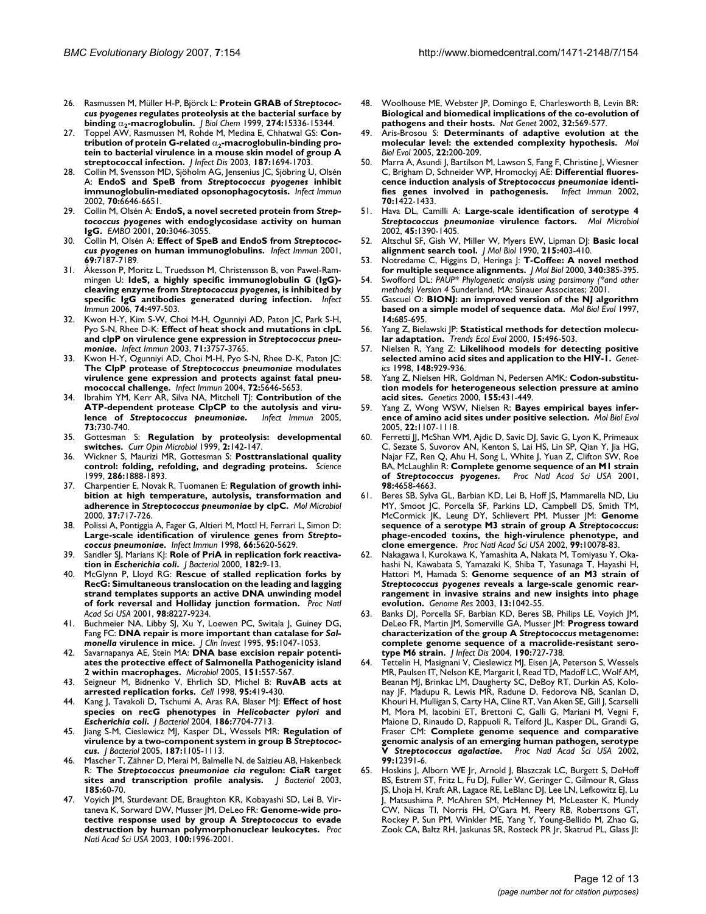- 26. Rasmussen M, Müller H-P, Björck L: **Protein GRAB of** *Streptococcus pyogenes* **regulates proteolysis at the bacterial surface by binding** α**2[-macroglobulin.](http://www.ncbi.nlm.nih.gov/entrez/query.fcgi?cmd=Retrieve&db=PubMed&dopt=Abstract&list_uids=10336419)** *J Biol Chem* 1999, **274:**15336-15344.
- 27. Toppel AW, Rasmussen M, Rohde M, Medina E, Chhatwal GS: **Contribution of protein G-related** α**[2-macroglobulin-binding pro](http://www.ncbi.nlm.nih.gov/entrez/query.fcgi?cmd=Retrieve&db=PubMed&dopt=Abstract&list_uids=12751026)[tein to bacterial virulence in a mouse skin model of group A](http://www.ncbi.nlm.nih.gov/entrez/query.fcgi?cmd=Retrieve&db=PubMed&dopt=Abstract&list_uids=12751026) [streptococcal infection.](http://www.ncbi.nlm.nih.gov/entrez/query.fcgi?cmd=Retrieve&db=PubMed&dopt=Abstract&list_uids=12751026)** *J Infect Dis* 2003, **187:**1694-1703.
- 28. Collin M, Svensson MD, Sjöholm AG, Jensenius JC, Sjöbring U, Olsén A: **EndoS and SpeB from** *Streptococcus pyogenes* **[inhibit](http://www.ncbi.nlm.nih.gov/entrez/query.fcgi?cmd=Retrieve&db=PubMed&dopt=Abstract&list_uids=12438337) [immunoglobulin-mediated opsonophagocytosis.](http://www.ncbi.nlm.nih.gov/entrez/query.fcgi?cmd=Retrieve&db=PubMed&dopt=Abstract&list_uids=12438337)** *Infect Immun* 2002, **70:**6646-6651.
- 29. Collin M, Olsén A: **EndoS, a novel secreted protein from** *Streptococcus pyogenes* **with endoglycosidase activity on human IgG.** *EMBO* 2001, **20:**3046-3055.
- 30. Collin M, Olsén A: **Effect of SpeB and EndoS from** *Streptococcus pyogenes* **[on human immunoglobulins.](http://www.ncbi.nlm.nih.gov/entrez/query.fcgi?cmd=Retrieve&db=PubMed&dopt=Abstract&list_uids=11598100)** *Infect Immun* 2001, **69:**7187-7189.
- 31. Åkesson P, Moritz L, Truedsson M, Christensson B, von Pawel-Rammingen U: **IdeS, a highly specific immunoglobulin G (IgG) cleaving enzyme from** *Streptococcus pyogenes***[, is inhibited by](http://www.ncbi.nlm.nih.gov/entrez/query.fcgi?cmd=Retrieve&db=PubMed&dopt=Abstract&list_uids=16369006) [specific IgG antibodies generated during infection.](http://www.ncbi.nlm.nih.gov/entrez/query.fcgi?cmd=Retrieve&db=PubMed&dopt=Abstract&list_uids=16369006)** *Infect Immun* 2006, **74:**497-503.
- 32. Kwon H-Y, Kim S-W, Choi M-H, Ogunniyi AD, Paton JC, Park S-H, Pyo S-N, Rhee D-K: **Effect of heat shock and mutations in clpL and clpP on virulence gene expression in** *Streptococcus pneumoniae***[.](http://www.ncbi.nlm.nih.gov/entrez/query.fcgi?cmd=Retrieve&db=PubMed&dopt=Abstract&list_uids=12819057)** *Infect Immun* 2003, **71:**3757-3765.
- Kwon H-Y, Ogunniyi AD, Choi M-H, Pyo S-N, Rhee D-K, Paton JC: **The ClpP protease of** *Streptococcus pneumoniae* **[modulates](http://www.ncbi.nlm.nih.gov/entrez/query.fcgi?cmd=Retrieve&db=PubMed&dopt=Abstract&list_uids=15385462) [virulence gene expression and protects against fatal pneu](http://www.ncbi.nlm.nih.gov/entrez/query.fcgi?cmd=Retrieve&db=PubMed&dopt=Abstract&list_uids=15385462)[mococcal challenge.](http://www.ncbi.nlm.nih.gov/entrez/query.fcgi?cmd=Retrieve&db=PubMed&dopt=Abstract&list_uids=15385462)** *Infect Immun* 2004, **72:**5646-5653.
- 34. Ibrahim YM, Kerr AR, Silva NA, Mitchell TJ: **Contribution of the ATP-dependent protease ClpCP to the autolysis and virulence of** *Streptococcus pneumoniae***[.](http://www.ncbi.nlm.nih.gov/entrez/query.fcgi?cmd=Retrieve&db=PubMed&dopt=Abstract&list_uids=15664911)** *Infect Immun* 2005, **73:**730-740.
- 35. Gottesman S: **[Regulation by proteolysis: developmental](http://www.ncbi.nlm.nih.gov/entrez/query.fcgi?cmd=Retrieve&db=PubMed&dopt=Abstract&list_uids=10322171) [switches.](http://www.ncbi.nlm.nih.gov/entrez/query.fcgi?cmd=Retrieve&db=PubMed&dopt=Abstract&list_uids=10322171)** *Curr Opin Microbiol* 1999, **2:**142-147.
- 36. Wickner S, Maurizi MR, Gottesman S: **[Posttranslational quality](http://www.ncbi.nlm.nih.gov/entrez/query.fcgi?cmd=Retrieve&db=PubMed&dopt=Abstract&list_uids=10583944) [control: folding, refolding, and degrading proteins.](http://www.ncbi.nlm.nih.gov/entrez/query.fcgi?cmd=Retrieve&db=PubMed&dopt=Abstract&list_uids=10583944)** *Science* 1999, **286:**1888-1893.
- 37. Charpentier E, Novak R, Tuomanen E: **Regulation of growth inhibition at high temperature, autolysis, transformation and adherence in** *Streptococcus pneumoniae* **[by clpC.](http://www.ncbi.nlm.nih.gov/entrez/query.fcgi?cmd=Retrieve&db=PubMed&dopt=Abstract&list_uids=10972795)** *Mol Microbiol* 2000, **37:**717-726.
- 38. Polissi A, Pontiggia A, Fager G, Altieri M, Mottl H, Ferrari L, Simon D: **Large-scale identification of virulence genes from** *Streptococcus pneumoniae***[.](http://www.ncbi.nlm.nih.gov/entrez/query.fcgi?cmd=Retrieve&db=PubMed&dopt=Abstract&list_uids=9826334)** *Infect Immun* 1998, **66:**5620-5629.
- 39. Sandler SJ, Marians KI: Role of PriA in replication fork reactiva**tion in** *Escherichia coli***[.](http://www.ncbi.nlm.nih.gov/entrez/query.fcgi?cmd=Retrieve&db=PubMed&dopt=Abstract&list_uids=10613856)** *J Bacteriol* 2000, **182:**9-13.
- 40. McGlynn P, Lloyd RG: **[Rescue of stalled replication forks by](http://www.ncbi.nlm.nih.gov/entrez/query.fcgi?cmd=Retrieve&db=PubMed&dopt=Abstract&list_uids=11459957) RecG: Simultaneous translocation on the leading and lagging [strand templates supports an active DNA unwinding model](http://www.ncbi.nlm.nih.gov/entrez/query.fcgi?cmd=Retrieve&db=PubMed&dopt=Abstract&list_uids=11459957) [of fork reversal and Holliday junction formation.](http://www.ncbi.nlm.nih.gov/entrez/query.fcgi?cmd=Retrieve&db=PubMed&dopt=Abstract&list_uids=11459957)** *Proc Natl Acad Sci USA* 2001, **98:**8227-9234.
- 41. Buchmeier NA, Libby SJ, Xu Y, Loewen PC, Switala J, Guiney DG, Fang FC: **DNA repair is more important than catalase for** *Salmonella* **[virulence in mice.](http://www.ncbi.nlm.nih.gov/entrez/query.fcgi?cmd=Retrieve&db=PubMed&dopt=Abstract&list_uids=7883952)** *J Clin Invest* 1995, **95:**1047-1053.
- 42. Savarnapanya AE, Stein MA: **DNA base excision repair potentiates the protective effect of Salmonella Pathogenicity island 2 within macrophages.** *Microbiol* 2005, **151:**557-567.
- 43. Seigneur M, Bidnenko V, Ehrlich SD, Michel B: **[RuvAB acts at](http://www.ncbi.nlm.nih.gov/entrez/query.fcgi?cmd=Retrieve&db=PubMed&dopt=Abstract&list_uids=9814711) [arrested replication forks.](http://www.ncbi.nlm.nih.gov/entrez/query.fcgi?cmd=Retrieve&db=PubMed&dopt=Abstract&list_uids=9814711)** *Cell* 1998, **95:**419-430.
- 44. Kang J, Tavakoli D, Tschumi A, Aras RA, Blaser MJ: **Effect of host species on recG phenotypes in** *Helicobacter pylori* **and** *Escherichia coli***[.](http://www.ncbi.nlm.nih.gov/entrez/query.fcgi?cmd=Retrieve&db=PubMed&dopt=Abstract&list_uids=15516585)** *J Bacteriol* 2004, **186:**7704-7713.
- 45. Jiang S-M, Cieslewicz MJ, Kasper DL, Wessels MR: **Regulation of virulence by a two-component system in group B** *Streptococcus***[.](http://www.ncbi.nlm.nih.gov/entrez/query.fcgi?cmd=Retrieve&db=PubMed&dopt=Abstract&list_uids=15659687)** *J Bacteriol* 2005, **187:**1105-1113.
- 46. Mascher T, Zähner D, Merai M, Balmelle N, de Saizieu AB, Hakenbeck R: **The** *Streptococcus pneumoniae cia* **[regulon: CiaR target](http://www.ncbi.nlm.nih.gov/entrez/query.fcgi?cmd=Retrieve&db=PubMed&dopt=Abstract&list_uids=12486041) [sites and transcription profile analysis.](http://www.ncbi.nlm.nih.gov/entrez/query.fcgi?cmd=Retrieve&db=PubMed&dopt=Abstract&list_uids=12486041)** *J Bacteriol* 2003, **185:**60-70.
- 47. Voyich JM, Sturdevant DE, Braughton KR, Kobayashi SD, Lei B, Virtaneva K, Sorward DW, Musser JM, DeLeo FR: **Genome-wide protective response used by group A** *Streptococcus* **[to evade](http://www.ncbi.nlm.nih.gov/entrez/query.fcgi?cmd=Retrieve&db=PubMed&dopt=Abstract&list_uids=12574517) [destruction by human polymorphonuclear leukocytes.](http://www.ncbi.nlm.nih.gov/entrez/query.fcgi?cmd=Retrieve&db=PubMed&dopt=Abstract&list_uids=12574517)** *Proc Natl Acad Sci USA* 2003, **100:**1996-2001.
- 48. Woolhouse ME, Webster JP, Domingo E, Charlesworth B, Levin BR: **[Biological and biomedical implications of the co-evolution of](http://www.ncbi.nlm.nih.gov/entrez/query.fcgi?cmd=Retrieve&db=PubMed&dopt=Abstract&list_uids=12457190) [pathogens and their hosts.](http://www.ncbi.nlm.nih.gov/entrez/query.fcgi?cmd=Retrieve&db=PubMed&dopt=Abstract&list_uids=12457190)** *Nat Genet* 2002, **32:**569-577.
- 49. Aris-Brosou S: **[Determinants of adaptive evolution at the](http://www.ncbi.nlm.nih.gov/entrez/query.fcgi?cmd=Retrieve&db=PubMed&dopt=Abstract&list_uids=15483330) [molecular level: the extended complexity hypothesis.](http://www.ncbi.nlm.nih.gov/entrez/query.fcgi?cmd=Retrieve&db=PubMed&dopt=Abstract&list_uids=15483330)** *Mol Biol Evol* 2005, **22:**200-209.
- 50. Marra A, Asundi J, Bartilson M, Lawson S, Fang F, Christine J, Wiesner C, Brigham D, Schneider WP, Hromockyj AE: **Differential fluorescence induction analysis of** *Streptococcus pneumoniae* **[identi](http://www.ncbi.nlm.nih.gov/entrez/query.fcgi?cmd=Retrieve&db=PubMed&dopt=Abstract&list_uids=11854229)[fies genes involved in pathogenesis.](http://www.ncbi.nlm.nih.gov/entrez/query.fcgi?cmd=Retrieve&db=PubMed&dopt=Abstract&list_uids=11854229)** *Infect Immun* 2002, **70:**1422-1433.
- 51. Hava DL, Camilli A: **Large-scale identification of serotype 4** *Streptococcus pneumoniae* **virulence factors.** *Mol Microbiol* 2002, **45:**1390-1405.
- 52. Altschul SF, Gish W, Miller W, Myers EW, Lipman DJ: **[Basic local](http://www.ncbi.nlm.nih.gov/entrez/query.fcgi?cmd=Retrieve&db=PubMed&dopt=Abstract&list_uids=2231712) [alignment search tool.](http://www.ncbi.nlm.nih.gov/entrez/query.fcgi?cmd=Retrieve&db=PubMed&dopt=Abstract&list_uids=2231712)** *J Mol Biol* 1990, **215:**403-410.
- 53. Notredame C, Higgins D, Heringa J: **T-Coffee: A novel method for multiple sequence alignments.** *J Mol Biol* 2000, **340:**385-395.
- 54. Swofford DL: *PAUP\* Phylogenetic analysis using parsimony (\*and other methods) Version 4* Sunderland, MA: Sinauer Associates; 2001.
- 55. Gascuel O: **[BIONJ: an improved version of the NJ algorithm](http://www.ncbi.nlm.nih.gov/entrez/query.fcgi?cmd=Retrieve&db=PubMed&dopt=Abstract&list_uids=9254330) [based on a simple model of sequence data.](http://www.ncbi.nlm.nih.gov/entrez/query.fcgi?cmd=Retrieve&db=PubMed&dopt=Abstract&list_uids=9254330)** *Mol Biol Evol* 1997, **14:**685-695.
- 56. Yang Z, Bielawski JP: **[Statistical methods for detection molecu](http://www.ncbi.nlm.nih.gov/entrez/query.fcgi?cmd=Retrieve&db=PubMed&dopt=Abstract&list_uids=11114436)[lar adaptation.](http://www.ncbi.nlm.nih.gov/entrez/query.fcgi?cmd=Retrieve&db=PubMed&dopt=Abstract&list_uids=11114436)** *Trends Ecol Evol* 2000, **15:**496-503.
- 57. Nielsen R, Yang Z: **[Likelihood models for detecting positive](http://www.ncbi.nlm.nih.gov/entrez/query.fcgi?cmd=Retrieve&db=PubMed&dopt=Abstract&list_uids=9539414) [selected amino acid sites and application to the HIV-1.](http://www.ncbi.nlm.nih.gov/entrez/query.fcgi?cmd=Retrieve&db=PubMed&dopt=Abstract&list_uids=9539414)** *Genetics* 1998, **148:**929-936.
- 58. Yang Z, Nielsen HR, Goldman N, Pedersen AMK: **[Codon-substitu](http://www.ncbi.nlm.nih.gov/entrez/query.fcgi?cmd=Retrieve&db=PubMed&dopt=Abstract&list_uids=10790415)[tion models for heterogeneous selection pressure at amino](http://www.ncbi.nlm.nih.gov/entrez/query.fcgi?cmd=Retrieve&db=PubMed&dopt=Abstract&list_uids=10790415) [acid sites.](http://www.ncbi.nlm.nih.gov/entrez/query.fcgi?cmd=Retrieve&db=PubMed&dopt=Abstract&list_uids=10790415)** *Genetics* 2000, **155:**431-449.
- 59. Yang Z, Wong WSW, Nielsen R: **[Bayes empirical bayes infer](http://www.ncbi.nlm.nih.gov/entrez/query.fcgi?cmd=Retrieve&db=PubMed&dopt=Abstract&list_uids=15689528)[ence of amino acid sites under positive selection.](http://www.ncbi.nlm.nih.gov/entrez/query.fcgi?cmd=Retrieve&db=PubMed&dopt=Abstract&list_uids=15689528)** *Mol Biol Evol* 2005, **22:**1107-1118.
- Ferretti JJ, McShan WM, Ajdic D, Savic DJ, Savic G, Lyon K, Primeaux C, Sezate S, Suvorov AN, Kenton S, Lai HS, Lin SP, Qian Y, Jia HG, Najar FZ, Ren Q, Ahu H, Song L, White J, Yuan Z, Clifton SW, Roe BA, McLaughlin R: **Complete genome sequence of an M1 strain of** *Streptococcus pyogenes***[.](http://www.ncbi.nlm.nih.gov/entrez/query.fcgi?cmd=Retrieve&db=PubMed&dopt=Abstract&list_uids=11296296)** *Proc Natl Acad Sci USA* 2001, **98:**4658-4663.
- 61. Beres SB, Sylva GL, Barbian KD, Lei B, Hoff JS, Mammarella ND, Liu MY, Smoot JC, Porcella SF, Parkins LD, Campbell DS, Smith TM, McCormick JK, Leung DY, Schlievert PM, Musser JM: **Genome sequence of a serotype M3 strain of group A** *Streptococcus***[:](http://www.ncbi.nlm.nih.gov/entrez/query.fcgi?cmd=Retrieve&db=PubMed&dopt=Abstract&list_uids=12122206) [phage-encoded toxins, the high-virulence phenotype, and](http://www.ncbi.nlm.nih.gov/entrez/query.fcgi?cmd=Retrieve&db=PubMed&dopt=Abstract&list_uids=12122206) [clone emergence.](http://www.ncbi.nlm.nih.gov/entrez/query.fcgi?cmd=Retrieve&db=PubMed&dopt=Abstract&list_uids=12122206)** *Proc Natl Acad Sci USA* 2002, **99:**10078-83.
- 62. Nakagawa I, Kurokawa K, Yamashita A, Nakata M, Tomiyasu Y, Okahashi N, Kawabata S, Yamazaki K, Shiba T, Yasunaga T, Hayashi H, Hattori M, Hamada S: **Genome sequence of an M3 strain of** *Streptococcus pyogenes* **[reveals a large-scale genomic rear](http://www.ncbi.nlm.nih.gov/entrez/query.fcgi?cmd=Retrieve&db=PubMed&dopt=Abstract&list_uids=12799345)[rangement in invasive strains and new insights into phage](http://www.ncbi.nlm.nih.gov/entrez/query.fcgi?cmd=Retrieve&db=PubMed&dopt=Abstract&list_uids=12799345) [evolution.](http://www.ncbi.nlm.nih.gov/entrez/query.fcgi?cmd=Retrieve&db=PubMed&dopt=Abstract&list_uids=12799345)** *Genome Res* 2003, **13:**1042-55.
- Banks DJ, Porcella SF, Barbian KD, Beres SB, Philips LE, Voyich JM, DeLeo FR, Martin JM, Somerville GA, Musser JM: **Progress toward characterization of the group A** *Streptococcus* **[metagenome:](http://www.ncbi.nlm.nih.gov/entrez/query.fcgi?cmd=Retrieve&db=PubMed&dopt=Abstract&list_uids=15272401) [complete genome sequence of a macrolide-resistant sero](http://www.ncbi.nlm.nih.gov/entrez/query.fcgi?cmd=Retrieve&db=PubMed&dopt=Abstract&list_uids=15272401)[type M6 strain.](http://www.ncbi.nlm.nih.gov/entrez/query.fcgi?cmd=Retrieve&db=PubMed&dopt=Abstract&list_uids=15272401)** *J Infect Dis* 2004, **190:**727-738.
- Tettelin H, Masignani V, Cieslewicz MJ, Eisen JA, Peterson S, Wessels MR, Paulsen IT, Nelson KE, Margarit I, Read TD, Madoff LC, Wolf AM, Beanan MJ, Brinkac LM, Daugherty SC, DeBoy RT, Durkin AS, Kolonay JF, Madupu R, Lewis MR, Radune D, Fedorova NB, Scanlan D, Khouri H, Mulligan S, Carty HA, Cline RT, Van Aken SE, Gill J, Scarselli M, Mora M, Iacobini ET, Brettoni C, Galli G, Mariani M, Vegni F, Maione D, Rinaudo D, Rappuoli R, Telford JL, Kasper DL, Grandi G, Fraser CM: **Complete genome sequence and comparative genomic analysis of an emerging human pathogen, serotype V** *Streptococcus agalactiae***[.](http://www.ncbi.nlm.nih.gov/entrez/query.fcgi?cmd=Retrieve&db=PubMed&dopt=Abstract&list_uids=12200547)** *Proc Natl Acad Sci USA* 2002, **99:**12391-6.
- Hoskins J, Alborn WE Jr, Arnold J, Blaszczak LC, Burgett S, DeHoff BS, Estrem ST, Fritz L, Fu DJ, Fuller W, Geringer C, Gilmour R, Glass JS, Lhoja H, Kraft AR, Lagace RE, LeBlanc DJ, Lee LN, Lefkowitz EJ, Lu J, Matsushima P, McAhren SM, McHenney M, McLeaster K, Mundy CW, Nicas TI, Norris FH, O'Gara M, Peery RB, Robertsons GT, Rockey P, Sun PM, Winkler ME, Yang Y, Young-Bellido M, Zhao G, Zook CA, Baltz RH, Jaskunas SR, Rosteck PR Jr, Skatrud PL, Glass JI: